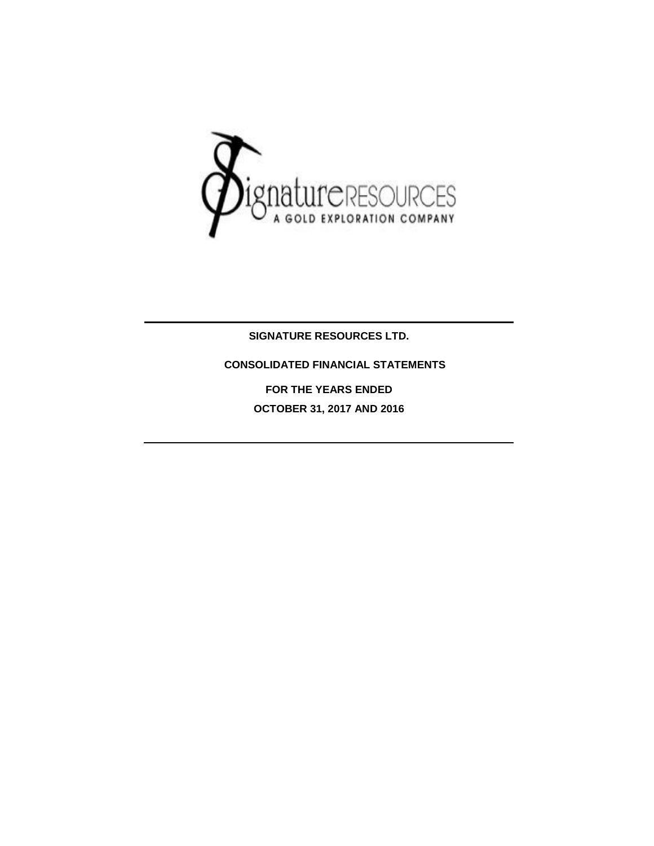

# **SIGNATURE RESOURCES LTD.**

**CONSOLIDATED FINANCIAL STATEMENTS**

**FOR THE YEARS ENDED OCTOBER 31, 2017 AND 2016**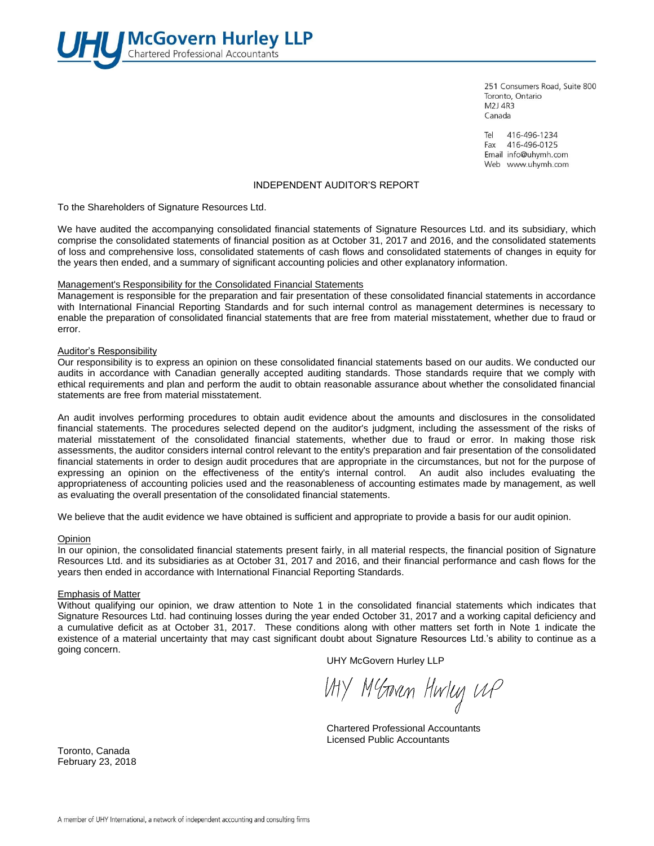

251 Consumers Road, Suite 800 Toronto, Ontario **M2J 4R3** Canada

Tel 416-496-1234 Fax 416-496-0125 Email info@uhymh.com Web www.uhymh.com

#### INDEPENDENT AUDITOR'S REPORT

To the Shareholders of Signature Resources Ltd.

We have audited the accompanying consolidated financial statements of Signature Resources Ltd. and its subsidiary, which comprise the consolidated statements of financial position as at October 31, 2017 and 2016, and the consolidated statements of loss and comprehensive loss, consolidated statements of cash flows and consolidated statements of changes in equity for the years then ended, and a summary of significant accounting policies and other explanatory information.

#### Management's Responsibility for the Consolidated Financial Statements

Management is responsible for the preparation and fair presentation of these consolidated financial statements in accordance with International Financial Reporting Standards and for such internal control as management determines is necessary to enable the preparation of consolidated financial statements that are free from material misstatement, whether due to fraud or error.

#### Auditor's Responsibility

Our responsibility is to express an opinion on these consolidated financial statements based on our audits. We conducted our audits in accordance with Canadian generally accepted auditing standards. Those standards require that we comply with ethical requirements and plan and perform the audit to obtain reasonable assurance about whether the consolidated financial statements are free from material misstatement.

An audit involves performing procedures to obtain audit evidence about the amounts and disclosures in the consolidated financial statements. The procedures selected depend on the auditor's judgment, including the assessment of the risks of material misstatement of the consolidated financial statements, whether due to fraud or error. In making those risk assessments, the auditor considers internal control relevant to the entity's preparation and fair presentation of the consolidated financial statements in order to design audit procedures that are appropriate in the circumstances, but not for the purpose of expressing an opinion on the effectiveness of the entity's internal control. An audit also includes evaluating the appropriateness of accounting policies used and the reasonableness of accounting estimates made by management, as well as evaluating the overall presentation of the consolidated financial statements.

We believe that the audit evidence we have obtained is sufficient and appropriate to provide a basis for our audit opinion.

#### Opinion

In our opinion, the consolidated financial statements present fairly, in all material respects, the financial position of Signature Resources Ltd. and its subsidiaries as at October 31, 2017 and 2016, and their financial performance and cash flows for the years then ended in accordance with International Financial Reporting Standards.

#### Emphasis of Matter

Without qualifying our opinion, we draw attention to Note 1 in the consolidated financial statements which indicates that Signature Resources Ltd. had continuing losses during the year ended October 31, 2017 and a working capital deficiency and a cumulative deficit as at October 31, 2017. These conditions along with other matters set forth in Note 1 indicate the existence of a material uncertainty that may cast significant doubt about Signature Resources Ltd.'s ability to continue as a going concern.

UHY McGovern Hurley LLP

VAY M'Goven Hwley UP

Chartered Professional Accountants Licensed Public Accountants

Toronto, Canada February 23, 2018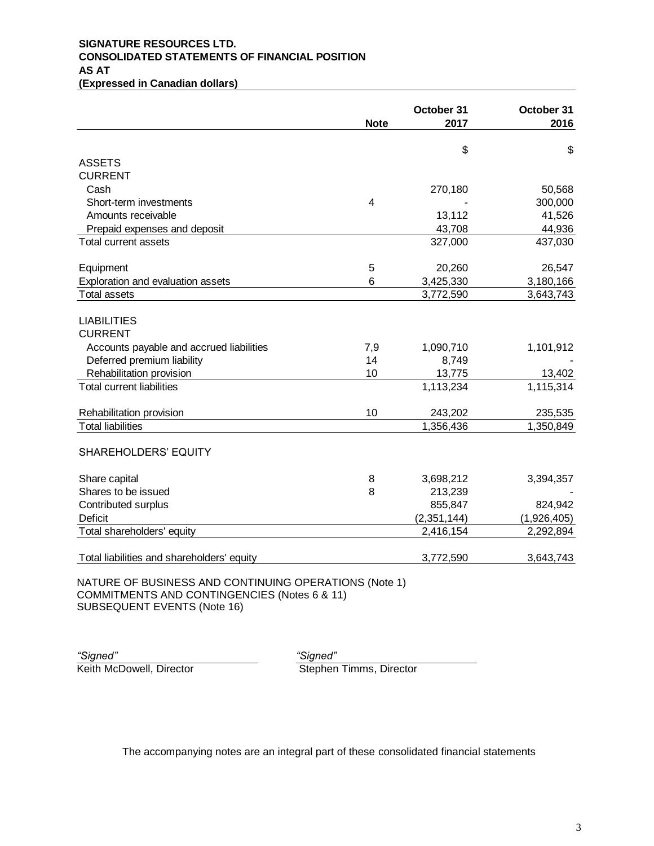## **SIGNATURE RESOURCES LTD. CONSOLIDATED STATEMENTS OF FINANCIAL POSITION AS AT (Expressed in Canadian dollars)**

|                                            |             | October 31  | October 31  |
|--------------------------------------------|-------------|-------------|-------------|
|                                            | <b>Note</b> | 2017        | 2016        |
|                                            |             |             |             |
| <b>ASSETS</b>                              |             | \$          | \$          |
| <b>CURRENT</b>                             |             |             |             |
| Cash                                       |             | 270,180     | 50,568      |
| Short-term investments                     | 4           |             | 300,000     |
| Amounts receivable                         |             | 13,112      | 41,526      |
| Prepaid expenses and deposit               |             | 43,708      | 44,936      |
| Total current assets                       |             | 327,000     | 437,030     |
| Equipment                                  | 5           | 20,260      | 26,547      |
| Exploration and evaluation assets          | 6           | 3,425,330   | 3,180,166   |
| <b>Total assets</b>                        |             | 3,772,590   | 3,643,743   |
| <b>LIABILITIES</b>                         |             |             |             |
| <b>CURRENT</b>                             |             |             |             |
| Accounts payable and accrued liabilities   | 7,9         | 1,090,710   | 1,101,912   |
| Deferred premium liability                 | 14          | 8,749       |             |
| Rehabilitation provision                   | 10          | 13,775      | 13,402      |
| <b>Total current liabilities</b>           |             | 1,113,234   | 1,115,314   |
| Rehabilitation provision                   | 10          | 243,202     | 235,535     |
| <b>Total liabilities</b>                   |             | 1,356,436   | 1,350,849   |
| <b>SHAREHOLDERS' EQUITY</b>                |             |             |             |
| Share capital                              | 8           | 3,698,212   | 3,394,357   |
| Shares to be issued                        | 8           | 213,239     |             |
| Contributed surplus                        |             | 855,847     | 824,942     |
| Deficit                                    |             | (2,351,144) | (1,926,405) |
| Total shareholders' equity                 |             | 2,416,154   | 2,292,894   |
| Total liabilities and shareholders' equity |             | 3,772,590   | 3,643,743   |

NATURE OF BUSINESS AND CONTINUING OPERATIONS (Note 1) COMMITMENTS AND CONTINGENCIES (Notes 6 & 11) SUBSEQUENT EVENTS (Note 16)

*"Signed" "Signed"*

Keith McDowell, Director Stephen Timms, Director

The accompanying notes are an integral part of these consolidated financial statements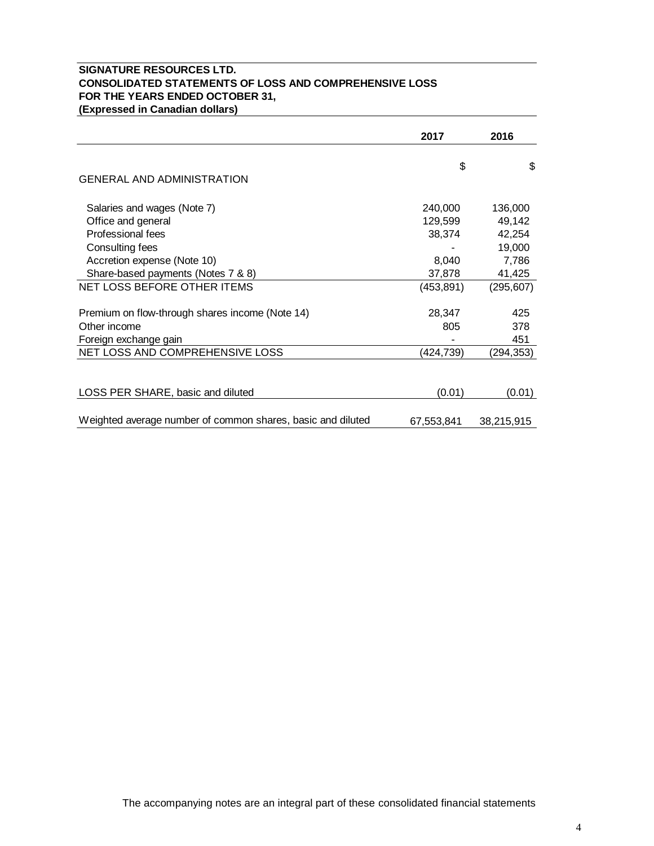# **SIGNATURE RESOURCES LTD. CONSOLIDATED STATEMENTS OF LOSS AND COMPREHENSIVE LOSS FOR THE YEARS ENDED OCTOBER 31, (Expressed in Canadian dollars)**

|                                                             | 2017       | 2016       |
|-------------------------------------------------------------|------------|------------|
|                                                             | \$         | \$         |
| <b>GENERAL AND ADMINISTRATION</b>                           |            |            |
| Salaries and wages (Note 7)                                 | 240,000    | 136,000    |
| Office and general                                          | 129,599    | 49,142     |
| Professional fees                                           | 38,374     | 42,254     |
| Consulting fees                                             |            | 19,000     |
| Accretion expense (Note 10)                                 | 8,040      | 7,786      |
| Share-based payments (Notes 7 & 8)                          | 37,878     | 41,425     |
| NET LOSS BEFORE OTHER ITEMS                                 | (453, 891) | (295, 607) |
| Premium on flow-through shares income (Note 14)             | 28,347     | 425        |
| Other income                                                | 805        | 378        |
| Foreign exchange gain                                       |            | 451        |
| NET LOSS AND COMPREHENSIVE LOSS                             | (424,739)  | (294, 353) |
|                                                             |            |            |
| LOSS PER SHARE, basic and diluted                           | (0.01)     | (0.01)     |
|                                                             |            |            |
| Weighted average number of common shares, basic and diluted | 67,553,841 | 38,215,915 |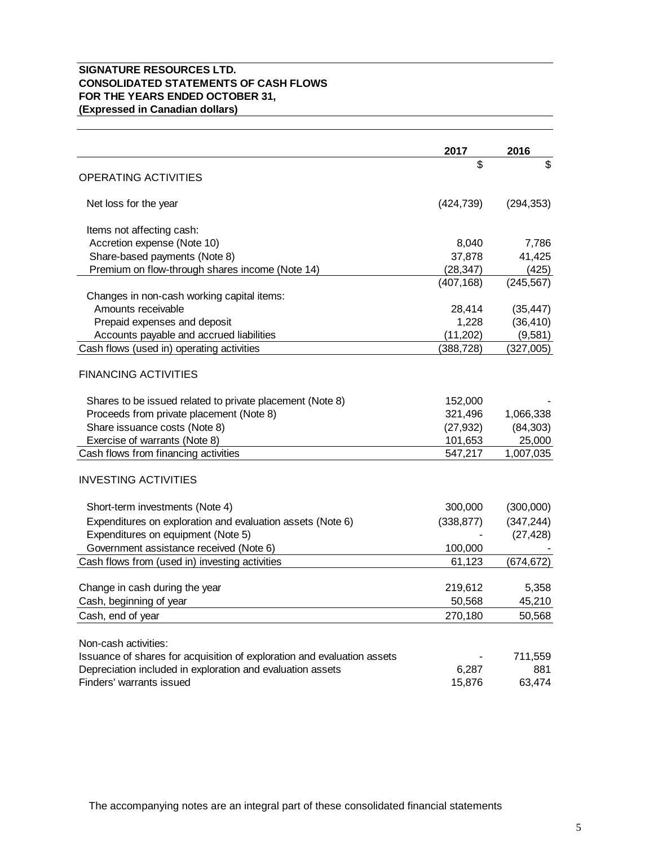# **SIGNATURE RESOURCES LTD. CONSOLIDATED STATEMENTS OF CASH FLOWS FOR THE YEARS ENDED OCTOBER 31, (Expressed in Canadian dollars)**

|                                                                         | 2017       | 2016       |
|-------------------------------------------------------------------------|------------|------------|
|                                                                         | \$         | \$         |
| OPERATING ACTIVITIES                                                    |            |            |
| Net loss for the year                                                   | (424, 739) | (294, 353) |
| Items not affecting cash:                                               |            |            |
| Accretion expense (Note 10)                                             | 8,040      | 7,786      |
| Share-based payments (Note 8)                                           | 37,878     | 41,425     |
| Premium on flow-through shares income (Note 14)                         | (28, 347)  | (425)      |
|                                                                         | (407, 168) | (245, 567) |
| Changes in non-cash working capital items:                              |            |            |
| Amounts receivable                                                      | 28,414     | (35, 447)  |
| Prepaid expenses and deposit                                            | 1,228      | (36, 410)  |
| Accounts payable and accrued liabilities                                | (11, 202)  | (9,581)    |
| Cash flows (used in) operating activities                               | (388, 728) | (327,005)  |
| <b>FINANCING ACTIVITIES</b>                                             |            |            |
| Shares to be issued related to private placement (Note 8)               | 152,000    |            |
| Proceeds from private placement (Note 8)                                | 321,496    | 1,066,338  |
| Share issuance costs (Note 8)                                           | (27, 932)  | (84, 303)  |
| Exercise of warrants (Note 8)                                           | 101,653    | 25,000     |
| Cash flows from financing activities                                    | 547,217    | 1,007,035  |
| <b>INVESTING ACTIVITIES</b>                                             |            |            |
| Short-term investments (Note 4)                                         | 300,000    | (300,000)  |
| Expenditures on exploration and evaluation assets (Note 6)              | (338, 877) | (347, 244) |
| Expenditures on equipment (Note 5)                                      |            | (27, 428)  |
| Government assistance received (Note 6)                                 | 100,000    |            |
| Cash flows from (used in) investing activities                          | 61,123     | (674, 672) |
|                                                                         |            |            |
| Change in cash during the year                                          | 219,612    | 5,358      |
| Cash, beginning of year                                                 | 50,568     | 45,210     |
| Cash, end of year                                                       | 270,180    | 50,568     |
| Non-cash activities:                                                    |            |            |
| Issuance of shares for acquisition of exploration and evaluation assets |            | 711,559    |
| Depreciation included in exploration and evaluation assets              | 6,287      | 881        |
| Finders' warrants issued                                                | 15,876     | 63,474     |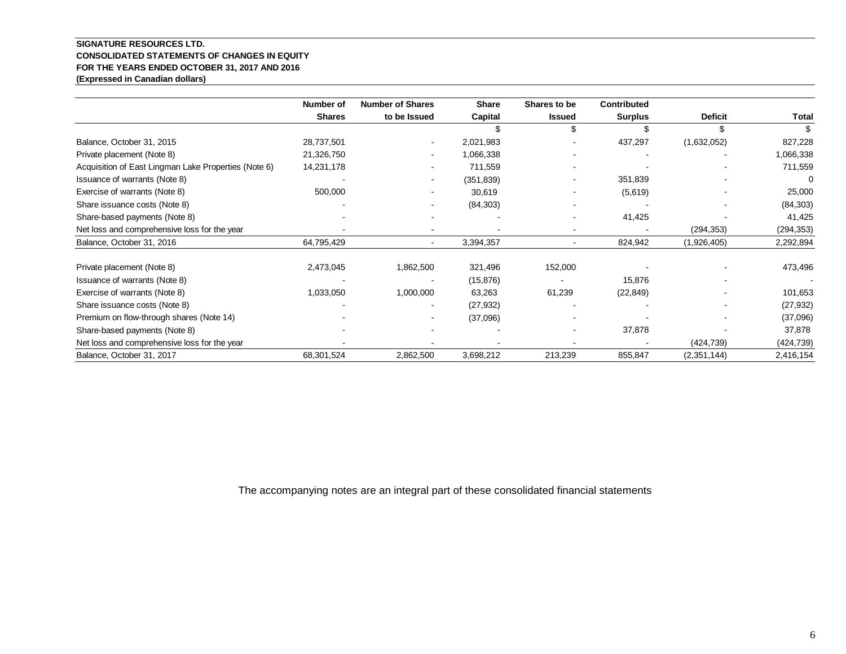#### **SIGNATURE RESOURCES LTD. CONSOLIDATED STATEMENTS OF CHANGES IN EQUITY FOR THE YEARS ENDED OCTOBER 31, 2017 AND 2016 (Expressed in Canadian dollars)**

|                                                      | Number of     | <b>Number of Shares</b> | <b>Share</b> | Shares to be             | <b>Contributed</b> |                |            |
|------------------------------------------------------|---------------|-------------------------|--------------|--------------------------|--------------------|----------------|------------|
|                                                      | <b>Shares</b> | to be Issued            | Capital      | <b>Issued</b>            | <b>Surplus</b>     | <b>Deficit</b> | Total      |
|                                                      |               |                         |              | \$                       |                    | \$             | S          |
| Balance, October 31, 2015                            | 28,737,501    | ۰                       | 2,021,983    |                          | 437,297            | (1,632,052)    | 827,228    |
| Private placement (Note 8)                           | 21,326,750    | ۰.                      | 1,066,338    |                          |                    |                | 1,066,338  |
| Acquisition of East Lingman Lake Properties (Note 6) | 14,231,178    | ۰                       | 711,559      | $\overline{\phantom{a}}$ |                    |                | 711,559    |
| Issuance of warrants (Note 8)                        |               | ۰.                      | (351, 839)   | $\overline{\phantom{a}}$ | 351,839            |                | 0          |
| Exercise of warrants (Note 8)                        | 500,000       | ۰                       | 30,619       |                          | (5,619)            |                | 25,000     |
| Share issuance costs (Note 8)                        |               |                         | (84, 303)    |                          |                    |                | (84, 303)  |
| Share-based payments (Note 8)                        |               |                         |              | $\overline{\phantom{a}}$ | 41,425             |                | 41,425     |
| Net loss and comprehensive loss for the year         |               |                         |              |                          |                    | (294, 353)     | (294, 353) |
| Balance, October 31, 2016                            | 64,795,429    | $\sim$                  | 3,394,357    | $\blacksquare$           | 824,942            | (1,926,405)    | 2,292,894  |
| Private placement (Note 8)                           | 2,473,045     | 1,862,500               | 321,496      | 152,000                  |                    |                | 473,496    |
| Issuance of warrants (Note 8)                        |               |                         | (15, 876)    |                          | 15,876             |                |            |
| Exercise of warrants (Note 8)                        | 1,033,050     | 1,000,000               | 63,263       | 61,239                   | (22, 849)          |                | 101,653    |
| Share issuance costs (Note 8)                        |               |                         | (27, 932)    |                          |                    |                | (27, 932)  |
| Premium on flow-through shares (Note 14)             |               |                         | (37,096)     |                          |                    |                | (37,096)   |
| Share-based payments (Note 8)                        |               |                         |              |                          | 37,878             |                | 37,878     |
| Net loss and comprehensive loss for the year         |               |                         |              |                          |                    | (424, 739)     | (424, 739) |
| Balance, October 31, 2017                            | 68,301,524    | 2,862,500               | 3,698,212    | 213,239                  | 855,847            | (2,351,144)    | 2,416,154  |

The accompanying notes are an integral part of these consolidated financial statements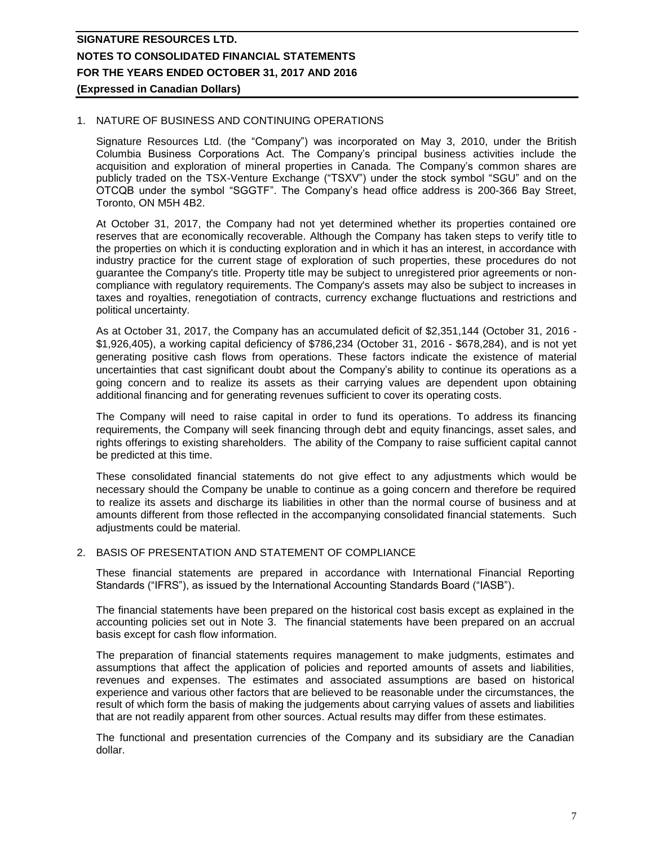## 1. NATURE OF BUSINESS AND CONTINUING OPERATIONS

Signature Resources Ltd. (the "Company") was incorporated on May 3, 2010, under the British Columbia Business Corporations Act. The Company's principal business activities include the acquisition and exploration of mineral properties in Canada. The Company's common shares are publicly traded on the TSX-Venture Exchange ("TSXV") under the stock symbol "SGU" and on the OTCQB under the symbol "SGGTF". The Company's head office address is 200-366 Bay Street, Toronto, ON M5H 4B2.

At October 31, 2017, the Company had not yet determined whether its properties contained ore reserves that are economically recoverable. Although the Company has taken steps to verify title to the properties on which it is conducting exploration and in which it has an interest, in accordance with industry practice for the current stage of exploration of such properties, these procedures do not guarantee the Company's title. Property title may be subject to unregistered prior agreements or noncompliance with regulatory requirements. The Company's assets may also be subject to increases in taxes and royalties, renegotiation of contracts, currency exchange fluctuations and restrictions and political uncertainty.

As at October 31, 2017, the Company has an accumulated deficit of \$2,351,144 (October 31, 2016 - \$1,926,405), a working capital deficiency of \$786,234 (October 31, 2016 - \$678,284), and is not yet generating positive cash flows from operations. These factors indicate the existence of material uncertainties that cast significant doubt about the Company's ability to continue its operations as a going concern and to realize its assets as their carrying values are dependent upon obtaining additional financing and for generating revenues sufficient to cover its operating costs.

The Company will need to raise capital in order to fund its operations. To address its financing requirements, the Company will seek financing through debt and equity financings, asset sales, and rights offerings to existing shareholders. The ability of the Company to raise sufficient capital cannot be predicted at this time.

These consolidated financial statements do not give effect to any adjustments which would be necessary should the Company be unable to continue as a going concern and therefore be required to realize its assets and discharge its liabilities in other than the normal course of business and at amounts different from those reflected in the accompanying consolidated financial statements. Such adjustments could be material.

## 2. BASIS OF PRESENTATION AND STATEMENT OF COMPLIANCE

These financial statements are prepared in accordance with International Financial Reporting Standards ("IFRS"), as issued by the International Accounting Standards Board ("IASB").

The financial statements have been prepared on the historical cost basis except as explained in the accounting policies set out in Note 3. The financial statements have been prepared on an accrual basis except for cash flow information.

The preparation of financial statements requires management to make judgments, estimates and assumptions that affect the application of policies and reported amounts of assets and liabilities, revenues and expenses. The estimates and associated assumptions are based on historical experience and various other factors that are believed to be reasonable under the circumstances, the result of which form the basis of making the judgements about carrying values of assets and liabilities that are not readily apparent from other sources. Actual results may differ from these estimates.

The functional and presentation currencies of the Company and its subsidiary are the Canadian dollar.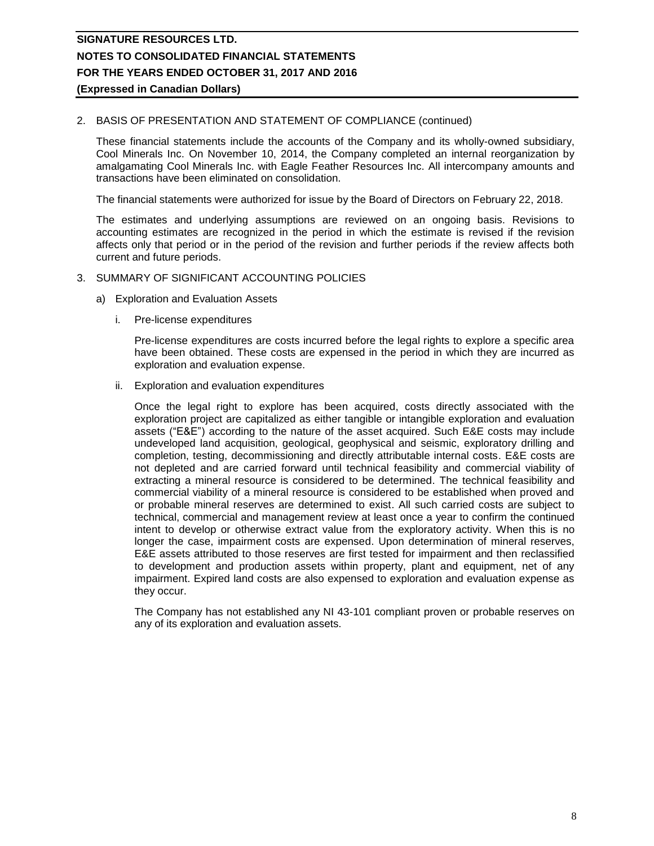## 2. BASIS OF PRESENTATION AND STATEMENT OF COMPLIANCE (continued)

These financial statements include the accounts of the Company and its wholly-owned subsidiary, Cool Minerals Inc. On November 10, 2014, the Company completed an internal reorganization by amalgamating Cool Minerals Inc. with Eagle Feather Resources Inc. All intercompany amounts and transactions have been eliminated on consolidation.

The financial statements were authorized for issue by the Board of Directors on February 22, 2018.

The estimates and underlying assumptions are reviewed on an ongoing basis. Revisions to accounting estimates are recognized in the period in which the estimate is revised if the revision affects only that period or in the period of the revision and further periods if the review affects both current and future periods.

## 3. SUMMARY OF SIGNIFICANT ACCOUNTING POLICIES

- a) Exploration and Evaluation Assets
	- i. Pre-license expenditures

Pre-license expenditures are costs incurred before the legal rights to explore a specific area have been obtained. These costs are expensed in the period in which they are incurred as exploration and evaluation expense.

ii. Exploration and evaluation expenditures

Once the legal right to explore has been acquired, costs directly associated with the exploration project are capitalized as either tangible or intangible exploration and evaluation assets ("E&E") according to the nature of the asset acquired. Such E&E costs may include undeveloped land acquisition, geological, geophysical and seismic, exploratory drilling and completion, testing, decommissioning and directly attributable internal costs. E&E costs are not depleted and are carried forward until technical feasibility and commercial viability of extracting a mineral resource is considered to be determined. The technical feasibility and commercial viability of a mineral resource is considered to be established when proved and or probable mineral reserves are determined to exist. All such carried costs are subject to technical, commercial and management review at least once a year to confirm the continued intent to develop or otherwise extract value from the exploratory activity. When this is no longer the case, impairment costs are expensed. Upon determination of mineral reserves, E&E assets attributed to those reserves are first tested for impairment and then reclassified to development and production assets within property, plant and equipment, net of any impairment. Expired land costs are also expensed to exploration and evaluation expense as they occur.

The Company has not established any NI 43-101 compliant proven or probable reserves on any of its exploration and evaluation assets.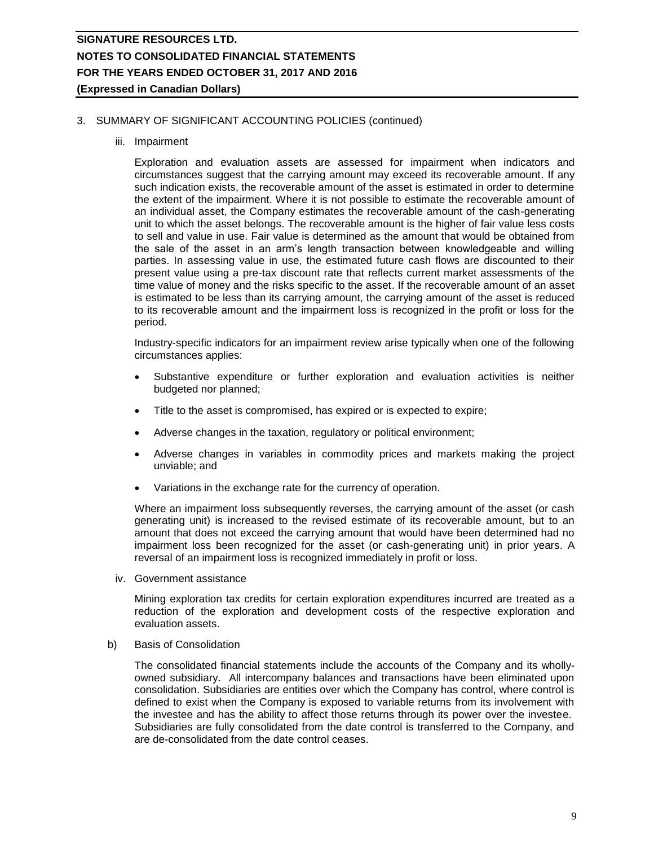## 3. SUMMARY OF SIGNIFICANT ACCOUNTING POLICIES (continued)

iii. Impairment

Exploration and evaluation assets are assessed for impairment when indicators and circumstances suggest that the carrying amount may exceed its recoverable amount. If any such indication exists, the recoverable amount of the asset is estimated in order to determine the extent of the impairment. Where it is not possible to estimate the recoverable amount of an individual asset, the Company estimates the recoverable amount of the cash-generating unit to which the asset belongs. The recoverable amount is the higher of fair value less costs to sell and value in use. Fair value is determined as the amount that would be obtained from the sale of the asset in an arm's length transaction between knowledgeable and willing parties. In assessing value in use, the estimated future cash flows are discounted to their present value using a pre-tax discount rate that reflects current market assessments of the time value of money and the risks specific to the asset. If the recoverable amount of an asset is estimated to be less than its carrying amount, the carrying amount of the asset is reduced to its recoverable amount and the impairment loss is recognized in the profit or loss for the period.

Industry-specific indicators for an impairment review arise typically when one of the following circumstances applies:

- Substantive expenditure or further exploration and evaluation activities is neither budgeted nor planned;
- Title to the asset is compromised, has expired or is expected to expire;
- Adverse changes in the taxation, regulatory or political environment;
- Adverse changes in variables in commodity prices and markets making the project unviable; and
- Variations in the exchange rate for the currency of operation.

Where an impairment loss subsequently reverses, the carrying amount of the asset (or cash generating unit) is increased to the revised estimate of its recoverable amount, but to an amount that does not exceed the carrying amount that would have been determined had no impairment loss been recognized for the asset (or cash-generating unit) in prior years. A reversal of an impairment loss is recognized immediately in profit or loss.

iv. Government assistance

Mining exploration tax credits for certain exploration expenditures incurred are treated as a reduction of the exploration and development costs of the respective exploration and evaluation assets.

b) Basis of Consolidation

The consolidated financial statements include the accounts of the Company and its whollyowned subsidiary. All intercompany balances and transactions have been eliminated upon consolidation. Subsidiaries are entities over which the Company has control, where control is defined to exist when the Company is exposed to variable returns from its involvement with the investee and has the ability to affect those returns through its power over the investee. Subsidiaries are fully consolidated from the date control is transferred to the Company, and are de-consolidated from the date control ceases.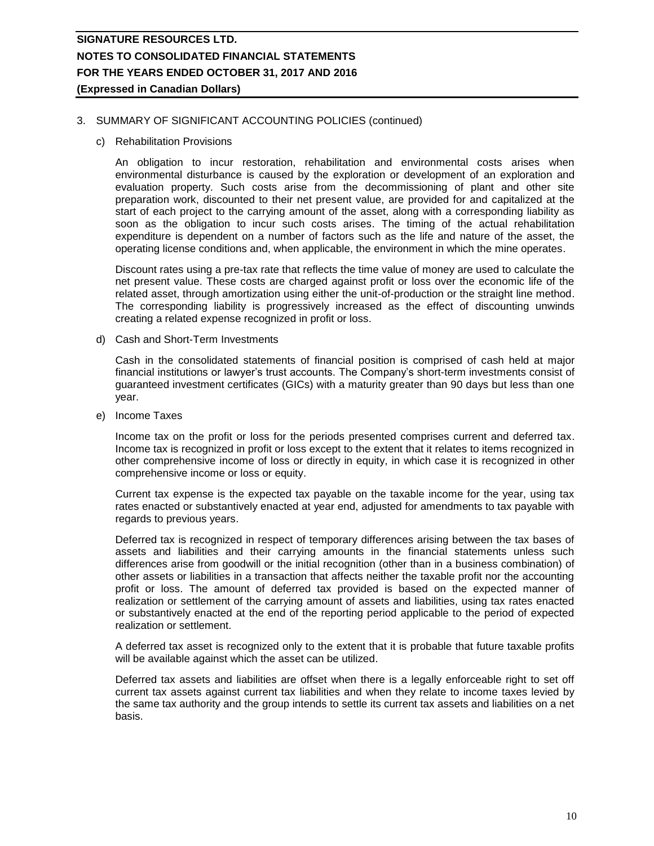## 3. SUMMARY OF SIGNIFICANT ACCOUNTING POLICIES (continued)

c) Rehabilitation Provisions

An obligation to incur restoration, rehabilitation and environmental costs arises when environmental disturbance is caused by the exploration or development of an exploration and evaluation property. Such costs arise from the decommissioning of plant and other site preparation work, discounted to their net present value, are provided for and capitalized at the start of each project to the carrying amount of the asset, along with a corresponding liability as soon as the obligation to incur such costs arises. The timing of the actual rehabilitation expenditure is dependent on a number of factors such as the life and nature of the asset, the operating license conditions and, when applicable, the environment in which the mine operates.

Discount rates using a pre-tax rate that reflects the time value of money are used to calculate the net present value. These costs are charged against profit or loss over the economic life of the related asset, through amortization using either the unit-of-production or the straight line method. The corresponding liability is progressively increased as the effect of discounting unwinds creating a related expense recognized in profit or loss.

d) Cash and Short-Term Investments

Cash in the consolidated statements of financial position is comprised of cash held at major financial institutions or lawyer's trust accounts. The Company's short-term investments consist of guaranteed investment certificates (GICs) with a maturity greater than 90 days but less than one year.

e) Income Taxes

Income tax on the profit or loss for the periods presented comprises current and deferred tax. Income tax is recognized in profit or loss except to the extent that it relates to items recognized in other comprehensive income of loss or directly in equity, in which case it is recognized in other comprehensive income or loss or equity.

Current tax expense is the expected tax payable on the taxable income for the year, using tax rates enacted or substantively enacted at year end, adjusted for amendments to tax payable with regards to previous years.

Deferred tax is recognized in respect of temporary differences arising between the tax bases of assets and liabilities and their carrying amounts in the financial statements unless such differences arise from goodwill or the initial recognition (other than in a business combination) of other assets or liabilities in a transaction that affects neither the taxable profit nor the accounting profit or loss. The amount of deferred tax provided is based on the expected manner of realization or settlement of the carrying amount of assets and liabilities, using tax rates enacted or substantively enacted at the end of the reporting period applicable to the period of expected realization or settlement.

A deferred tax asset is recognized only to the extent that it is probable that future taxable profits will be available against which the asset can be utilized.

Deferred tax assets and liabilities are offset when there is a legally enforceable right to set off current tax assets against current tax liabilities and when they relate to income taxes levied by the same tax authority and the group intends to settle its current tax assets and liabilities on a net basis.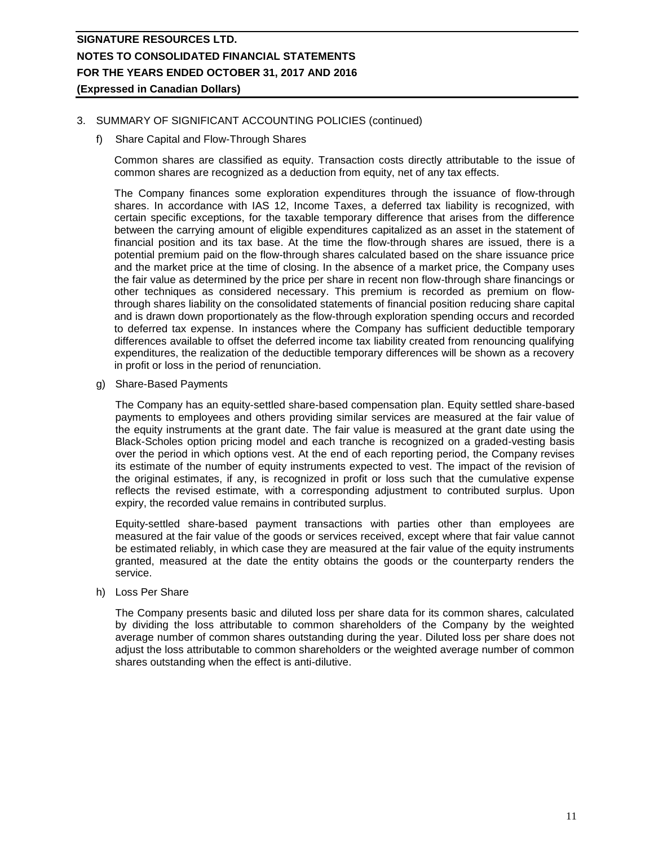## 3. SUMMARY OF SIGNIFICANT ACCOUNTING POLICIES (continued)

f) Share Capital and Flow-Through Shares

Common shares are classified as equity. Transaction costs directly attributable to the issue of common shares are recognized as a deduction from equity, net of any tax effects.

The Company finances some exploration expenditures through the issuance of flow-through shares. In accordance with IAS 12, Income Taxes, a deferred tax liability is recognized, with certain specific exceptions, for the taxable temporary difference that arises from the difference between the carrying amount of eligible expenditures capitalized as an asset in the statement of financial position and its tax base. At the time the flow-through shares are issued, there is a potential premium paid on the flow-through shares calculated based on the share issuance price and the market price at the time of closing. In the absence of a market price, the Company uses the fair value as determined by the price per share in recent non flow-through share financings or other techniques as considered necessary. This premium is recorded as premium on flowthrough shares liability on the consolidated statements of financial position reducing share capital and is drawn down proportionately as the flow-through exploration spending occurs and recorded to deferred tax expense. In instances where the Company has sufficient deductible temporary differences available to offset the deferred income tax liability created from renouncing qualifying expenditures, the realization of the deductible temporary differences will be shown as a recovery in profit or loss in the period of renunciation.

g) Share-Based Payments

The Company has an equity-settled share-based compensation plan. Equity settled share-based payments to employees and others providing similar services are measured at the fair value of the equity instruments at the grant date. The fair value is measured at the grant date using the Black-Scholes option pricing model and each tranche is recognized on a graded-vesting basis over the period in which options vest. At the end of each reporting period, the Company revises its estimate of the number of equity instruments expected to vest. The impact of the revision of the original estimates, if any, is recognized in profit or loss such that the cumulative expense reflects the revised estimate, with a corresponding adjustment to contributed surplus. Upon expiry, the recorded value remains in contributed surplus.

Equity-settled share-based payment transactions with parties other than employees are measured at the fair value of the goods or services received, except where that fair value cannot be estimated reliably, in which case they are measured at the fair value of the equity instruments granted, measured at the date the entity obtains the goods or the counterparty renders the service.

h) Loss Per Share

The Company presents basic and diluted loss per share data for its common shares, calculated by dividing the loss attributable to common shareholders of the Company by the weighted average number of common shares outstanding during the year. Diluted loss per share does not adjust the loss attributable to common shareholders or the weighted average number of common shares outstanding when the effect is anti-dilutive.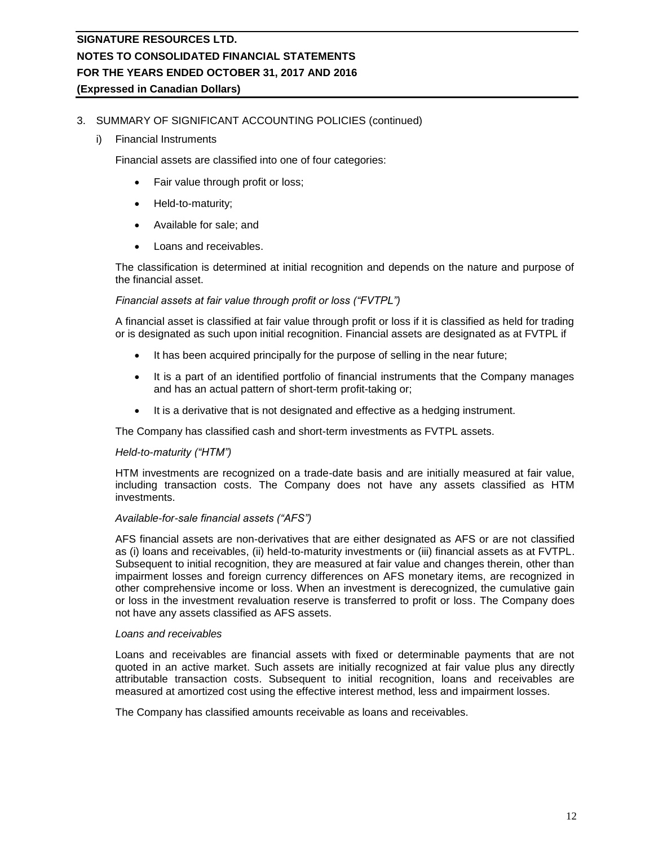# 3. SUMMARY OF SIGNIFICANT ACCOUNTING POLICIES (continued)

i) Financial Instruments

Financial assets are classified into one of four categories:

- Fair value through profit or loss;
- Held-to-maturity;
- Available for sale; and
- Loans and receivables.

The classification is determined at initial recognition and depends on the nature and purpose of the financial asset.

#### *Financial assets at fair value through profit or loss ("FVTPL")*

A financial asset is classified at fair value through profit or loss if it is classified as held for trading or is designated as such upon initial recognition. Financial assets are designated as at FVTPL if

- It has been acquired principally for the purpose of selling in the near future;
- It is a part of an identified portfolio of financial instruments that the Company manages and has an actual pattern of short-term profit-taking or;
- It is a derivative that is not designated and effective as a hedging instrument.

The Company has classified cash and short-term investments as FVTPL assets.

#### *Held-to-maturity ("HTM")*

HTM investments are recognized on a trade-date basis and are initially measured at fair value, including transaction costs. The Company does not have any assets classified as HTM investments.

#### *Available-for-sale financial assets ("AFS")*

AFS financial assets are non-derivatives that are either designated as AFS or are not classified as (i) loans and receivables, (ii) held-to-maturity investments or (iii) financial assets as at FVTPL. Subsequent to initial recognition, they are measured at fair value and changes therein, other than impairment losses and foreign currency differences on AFS monetary items, are recognized in other comprehensive income or loss. When an investment is derecognized, the cumulative gain or loss in the investment revaluation reserve is transferred to profit or loss. The Company does not have any assets classified as AFS assets.

#### *Loans and receivables*

Loans and receivables are financial assets with fixed or determinable payments that are not quoted in an active market. Such assets are initially recognized at fair value plus any directly attributable transaction costs. Subsequent to initial recognition, loans and receivables are measured at amortized cost using the effective interest method, less and impairment losses.

The Company has classified amounts receivable as loans and receivables.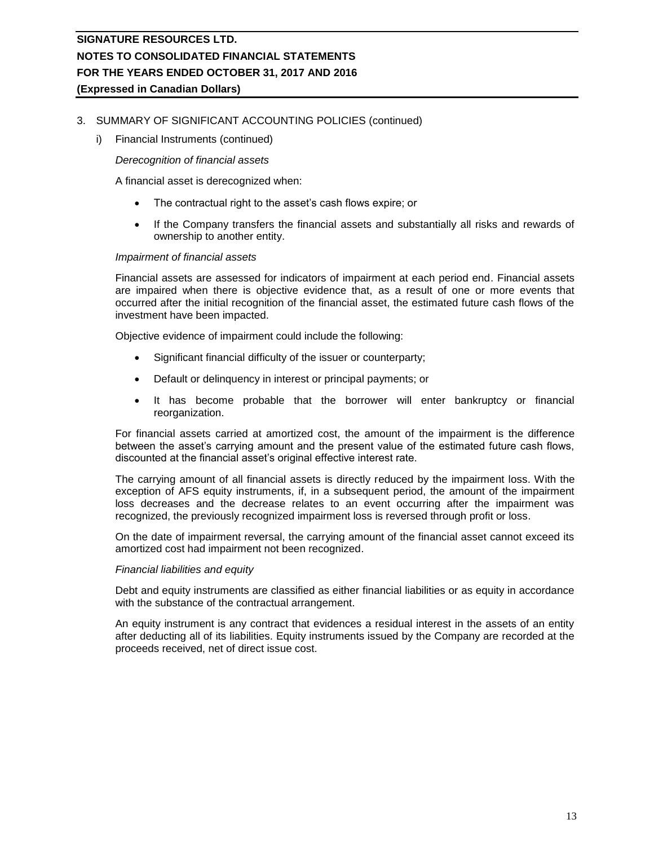# 3. SUMMARY OF SIGNIFICANT ACCOUNTING POLICIES (continued)

i) Financial Instruments (continued)

#### *Derecognition of financial assets*

A financial asset is derecognized when:

- The contractual right to the asset's cash flows expire; or
- If the Company transfers the financial assets and substantially all risks and rewards of ownership to another entity.

#### *Impairment of financial assets*

Financial assets are assessed for indicators of impairment at each period end. Financial assets are impaired when there is objective evidence that, as a result of one or more events that occurred after the initial recognition of the financial asset, the estimated future cash flows of the investment have been impacted.

Objective evidence of impairment could include the following:

- Significant financial difficulty of the issuer or counterparty;
- Default or delinquency in interest or principal payments; or
- It has become probable that the borrower will enter bankruptcy or financial reorganization.

For financial assets carried at amortized cost, the amount of the impairment is the difference between the asset's carrying amount and the present value of the estimated future cash flows, discounted at the financial asset's original effective interest rate.

The carrying amount of all financial assets is directly reduced by the impairment loss. With the exception of AFS equity instruments, if, in a subsequent period, the amount of the impairment loss decreases and the decrease relates to an event occurring after the impairment was recognized, the previously recognized impairment loss is reversed through profit or loss.

On the date of impairment reversal, the carrying amount of the financial asset cannot exceed its amortized cost had impairment not been recognized.

#### *Financial liabilities and equity*

Debt and equity instruments are classified as either financial liabilities or as equity in accordance with the substance of the contractual arrangement.

An equity instrument is any contract that evidences a residual interest in the assets of an entity after deducting all of its liabilities. Equity instruments issued by the Company are recorded at the proceeds received, net of direct issue cost.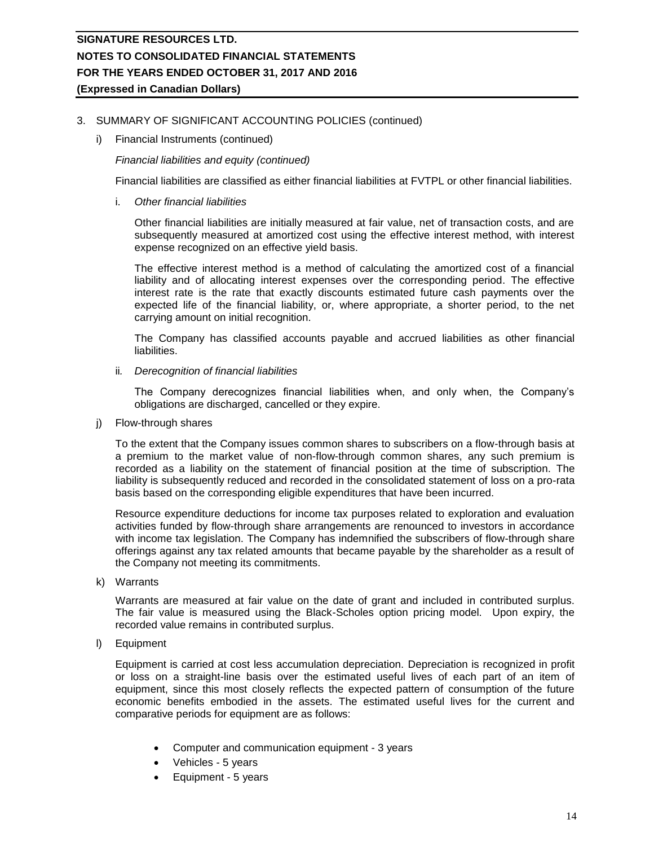# 3. SUMMARY OF SIGNIFICANT ACCOUNTING POLICIES (continued)

i) Financial Instruments (continued)

## *Financial liabilities and equity (continued)*

Financial liabilities are classified as either financial liabilities at FVTPL or other financial liabilities.

i. *Other financial liabilities*

Other financial liabilities are initially measured at fair value, net of transaction costs, and are subsequently measured at amortized cost using the effective interest method, with interest expense recognized on an effective yield basis.

The effective interest method is a method of calculating the amortized cost of a financial liability and of allocating interest expenses over the corresponding period. The effective interest rate is the rate that exactly discounts estimated future cash payments over the expected life of the financial liability, or, where appropriate, a shorter period, to the net carrying amount on initial recognition.

The Company has classified accounts payable and accrued liabilities as other financial liabilities.

ii*. Derecognition of financial liabilities*

The Company derecognizes financial liabilities when, and only when, the Company's obligations are discharged, cancelled or they expire.

j) Flow-through shares

To the extent that the Company issues common shares to subscribers on a flow-through basis at a premium to the market value of non-flow-through common shares, any such premium is recorded as a liability on the statement of financial position at the time of subscription. The liability is subsequently reduced and recorded in the consolidated statement of loss on a pro-rata basis based on the corresponding eligible expenditures that have been incurred.

Resource expenditure deductions for income tax purposes related to exploration and evaluation activities funded by flow-through share arrangements are renounced to investors in accordance with income tax legislation. The Company has indemnified the subscribers of flow-through share offerings against any tax related amounts that became payable by the shareholder as a result of the Company not meeting its commitments.

k) Warrants

Warrants are measured at fair value on the date of grant and included in contributed surplus. The fair value is measured using the Black-Scholes option pricing model. Upon expiry, the recorded value remains in contributed surplus.

l) Equipment

Equipment is carried at cost less accumulation depreciation. Depreciation is recognized in profit or loss on a straight-line basis over the estimated useful lives of each part of an item of equipment, since this most closely reflects the expected pattern of consumption of the future economic benefits embodied in the assets. The estimated useful lives for the current and comparative periods for equipment are as follows:

- Computer and communication equipment 3 years
- Vehicles 5 years
- Equipment 5 years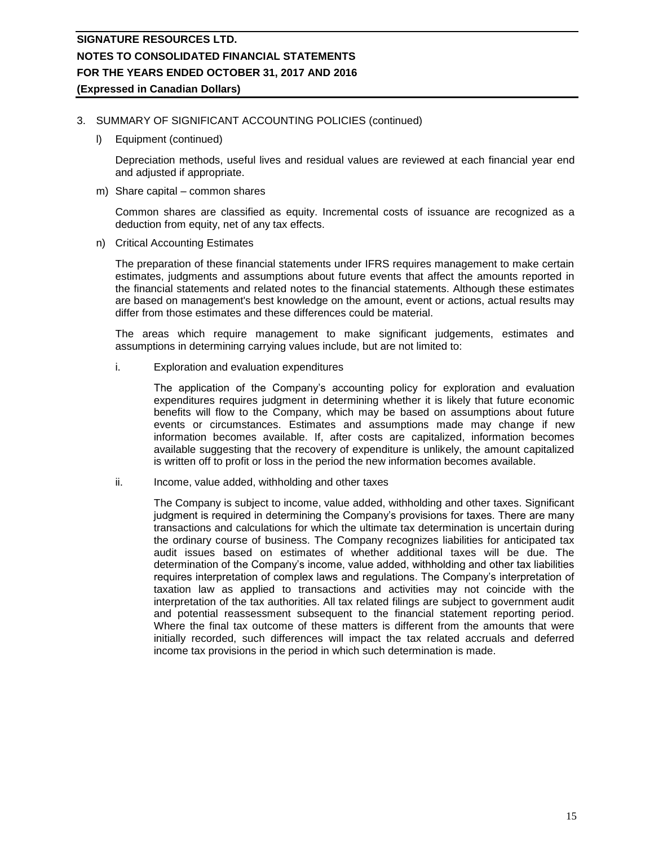# **SIGNATURE RESOURCES LTD. NOTES TO CONSOLIDATED FINANCIAL STATEMENTS FOR THE YEARS ENDED OCTOBER 31, 2017 AND 2016**

## **(Expressed in Canadian Dollars)**

## 3. SUMMARY OF SIGNIFICANT ACCOUNTING POLICIES (continued)

l) Equipment (continued)

Depreciation methods, useful lives and residual values are reviewed at each financial year end and adjusted if appropriate.

m) Share capital – common shares

Common shares are classified as equity. Incremental costs of issuance are recognized as a deduction from equity, net of any tax effects.

n) Critical Accounting Estimates

The preparation of these financial statements under IFRS requires management to make certain estimates, judgments and assumptions about future events that affect the amounts reported in the financial statements and related notes to the financial statements. Although these estimates are based on management's best knowledge on the amount, event or actions, actual results may differ from those estimates and these differences could be material.

The areas which require management to make significant judgements, estimates and assumptions in determining carrying values include, but are not limited to:

i. Exploration and evaluation expenditures

The application of the Company's accounting policy for exploration and evaluation expenditures requires judgment in determining whether it is likely that future economic benefits will flow to the Company, which may be based on assumptions about future events or circumstances. Estimates and assumptions made may change if new information becomes available. If, after costs are capitalized, information becomes available suggesting that the recovery of expenditure is unlikely, the amount capitalized is written off to profit or loss in the period the new information becomes available.

ii. Income, value added, withholding and other taxes

The Company is subject to income, value added, withholding and other taxes. Significant judgment is required in determining the Company's provisions for taxes. There are many transactions and calculations for which the ultimate tax determination is uncertain during the ordinary course of business. The Company recognizes liabilities for anticipated tax audit issues based on estimates of whether additional taxes will be due. The determination of the Company's income, value added, withholding and other tax liabilities requires interpretation of complex laws and regulations. The Company's interpretation of taxation law as applied to transactions and activities may not coincide with the interpretation of the tax authorities. All tax related filings are subject to government audit and potential reassessment subsequent to the financial statement reporting period. Where the final tax outcome of these matters is different from the amounts that were initially recorded, such differences will impact the tax related accruals and deferred income tax provisions in the period in which such determination is made.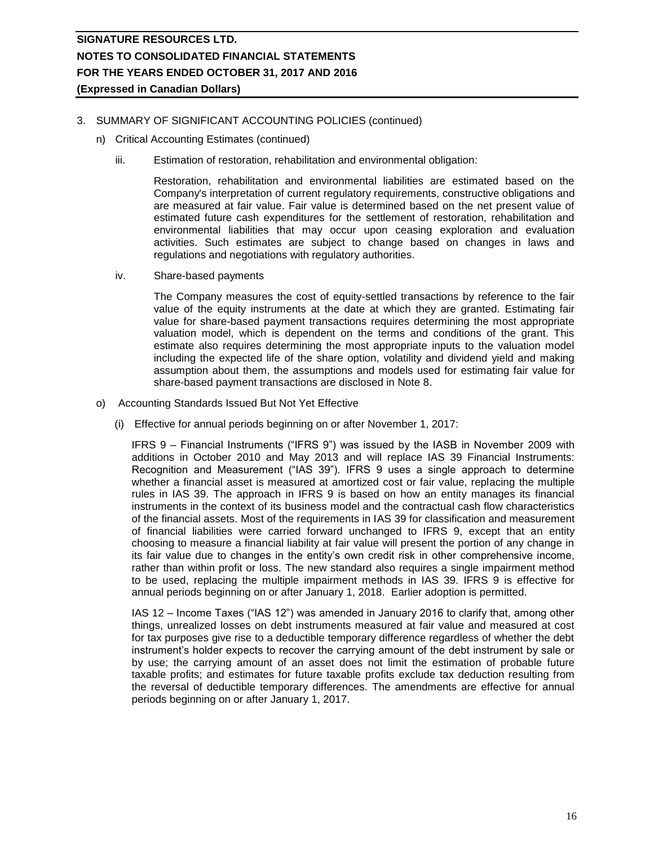## 3. SUMMARY OF SIGNIFICANT ACCOUNTING POLICIES (continued)

- n) Critical Accounting Estimates (continued)
	- iii. Estimation of restoration, rehabilitation and environmental obligation:

Restoration, rehabilitation and environmental liabilities are estimated based on the Company's interpretation of current regulatory requirements, constructive obligations and are measured at fair value. Fair value is determined based on the net present value of estimated future cash expenditures for the settlement of restoration, rehabilitation and environmental liabilities that may occur upon ceasing exploration and evaluation activities. Such estimates are subject to change based on changes in laws and regulations and negotiations with regulatory authorities.

iv. Share-based payments

The Company measures the cost of equity-settled transactions by reference to the fair value of the equity instruments at the date at which they are granted. Estimating fair value for share-based payment transactions requires determining the most appropriate valuation model, which is dependent on the terms and conditions of the grant. This estimate also requires determining the most appropriate inputs to the valuation model including the expected life of the share option, volatility and dividend yield and making assumption about them, the assumptions and models used for estimating fair value for share-based payment transactions are disclosed in Note 8.

- o) Accounting Standards Issued But Not Yet Effective
	- (i) Effective for annual periods beginning on or after November 1, 2017:

IFRS 9 – Financial Instruments ("IFRS 9") was issued by the IASB in November 2009 with additions in October 2010 and May 2013 and will replace IAS 39 Financial Instruments: Recognition and Measurement ("IAS 39"). IFRS 9 uses a single approach to determine whether a financial asset is measured at amortized cost or fair value, replacing the multiple rules in IAS 39. The approach in IFRS 9 is based on how an entity manages its financial instruments in the context of its business model and the contractual cash flow characteristics of the financial assets. Most of the requirements in IAS 39 for classification and measurement of financial liabilities were carried forward unchanged to IFRS 9, except that an entity choosing to measure a financial liability at fair value will present the portion of any change in its fair value due to changes in the entity's own credit risk in other comprehensive income, rather than within profit or loss. The new standard also requires a single impairment method to be used, replacing the multiple impairment methods in IAS 39. IFRS 9 is effective for annual periods beginning on or after January 1, 2018. Earlier adoption is permitted.

IAS 12 – Income Taxes ("IAS 12") was amended in January 2016 to clarify that, among other things, unrealized losses on debt instruments measured at fair value and measured at cost for tax purposes give rise to a deductible temporary difference regardless of whether the debt instrument's holder expects to recover the carrying amount of the debt instrument by sale or by use; the carrying amount of an asset does not limit the estimation of probable future taxable profits; and estimates for future taxable profits exclude tax deduction resulting from the reversal of deductible temporary differences. The amendments are effective for annual periods beginning on or after January 1, 2017.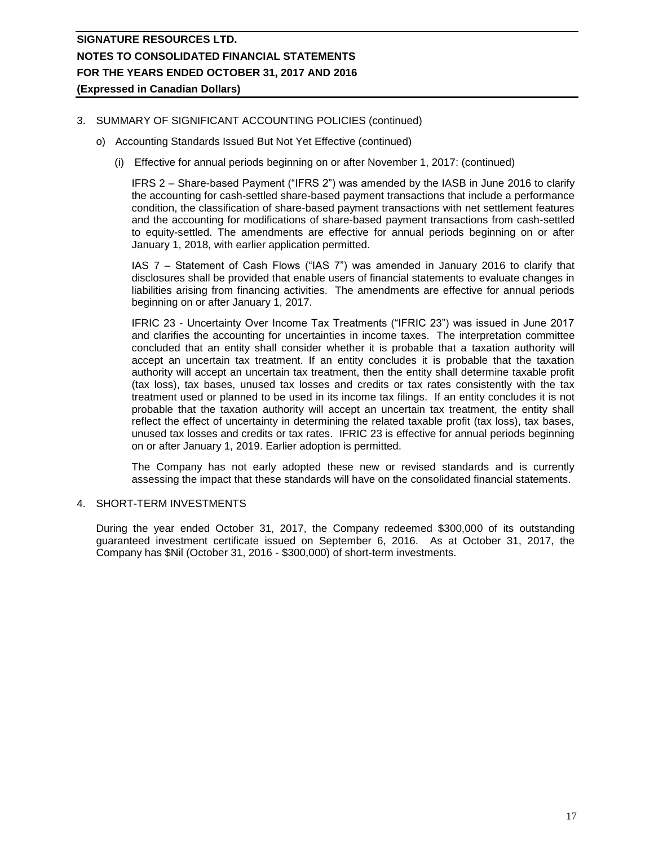## 3. SUMMARY OF SIGNIFICANT ACCOUNTING POLICIES (continued)

- o) Accounting Standards Issued But Not Yet Effective (continued)
	- (i) Effective for annual periods beginning on or after November 1, 2017: (continued)

IFRS 2 – Share-based Payment ("IFRS 2") was amended by the IASB in June 2016 to clarify the accounting for cash-settled share-based payment transactions that include a performance condition, the classification of share-based payment transactions with net settlement features and the accounting for modifications of share-based payment transactions from cash-settled to equity-settled. The amendments are effective for annual periods beginning on or after January 1, 2018, with earlier application permitted.

IAS 7 – Statement of Cash Flows ("IAS 7") was amended in January 2016 to clarify that disclosures shall be provided that enable users of financial statements to evaluate changes in liabilities arising from financing activities. The amendments are effective for annual periods beginning on or after January 1, 2017.

IFRIC 23 - Uncertainty Over Income Tax Treatments ("IFRIC 23") was issued in June 2017 and clarifies the accounting for uncertainties in income taxes. The interpretation committee concluded that an entity shall consider whether it is probable that a taxation authority will accept an uncertain tax treatment. If an entity concludes it is probable that the taxation authority will accept an uncertain tax treatment, then the entity shall determine taxable profit (tax loss), tax bases, unused tax losses and credits or tax rates consistently with the tax treatment used or planned to be used in its income tax filings. If an entity concludes it is not probable that the taxation authority will accept an uncertain tax treatment, the entity shall reflect the effect of uncertainty in determining the related taxable profit (tax loss), tax bases, unused tax losses and credits or tax rates. IFRIC 23 is effective for annual periods beginning on or after January 1, 2019. Earlier adoption is permitted.

The Company has not early adopted these new or revised standards and is currently assessing the impact that these standards will have on the consolidated financial statements.

#### 4. SHORT-TERM INVESTMENTS

During the year ended October 31, 2017, the Company redeemed \$300,000 of its outstanding guaranteed investment certificate issued on September 6, 2016. As at October 31, 2017, the Company has \$Nil (October 31, 2016 - \$300,000) of short-term investments.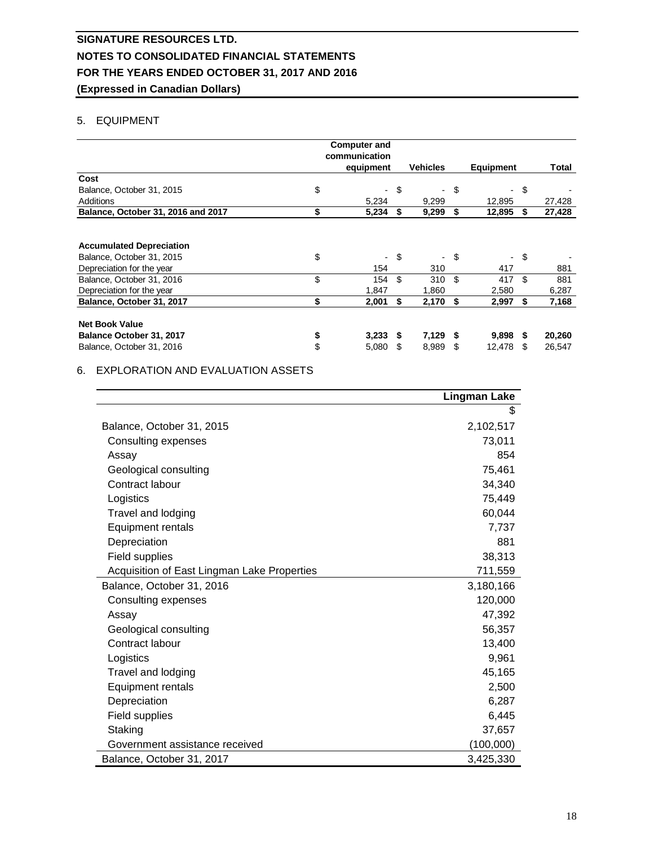# 5. EQUIPMENT

|                                    | <b>Computer and</b>            |                                |      |                          |      |        |
|------------------------------------|--------------------------------|--------------------------------|------|--------------------------|------|--------|
|                                    | communication                  |                                |      |                          |      |        |
|                                    | equipment                      | <b>Vehicles</b>                |      | <b>Equipment</b>         |      | Total  |
| Cost                               |                                |                                |      |                          |      |        |
| Balance, October 31, 2015          | \$<br>$\overline{\phantom{a}}$ | \$<br>$\overline{\phantom{a}}$ | \$   | $\overline{\phantom{0}}$ | \$   |        |
| Additions                          | 5,234                          | 9,299                          |      | 12,895                   |      | 27,428 |
| Balance, October 31, 2016 and 2017 | \$<br>5,234                    | \$<br>9,299                    | \$   | 12,895                   | - \$ | 27,428 |
|                                    |                                |                                |      |                          |      |        |
| <b>Accumulated Depreciation</b>    |                                |                                |      |                          |      |        |
| Balance, October 31, 2015          | \$<br>-                        | \$<br>$\overline{\phantom{a}}$ | - \$ |                          | -\$  |        |
| Depreciation for the year          | 154                            | 310                            |      | 417                      |      | 881    |
| Balance, October 31, 2016          | \$<br>154                      | \$<br>310                      | -\$  | 417                      | -S   | 881    |
| Depreciation for the year          | 1,847                          | 1,860                          |      | 2,580                    |      | 6,287  |
| Balance, October 31, 2017          | \$<br>2,001                    | \$<br>2,170                    | - \$ | 2,997                    | S    | 7,168  |
|                                    |                                |                                |      |                          |      |        |
| <b>Net Book Value</b>              |                                |                                |      |                          |      |        |
| Balance October 31, 2017           | \$<br>3,233                    | \$<br>7,129                    | S    | 9,898                    | 5.   | 20,260 |
| Balance, October 31, 2016          | \$<br>5,080                    | \$<br>8,989                    | \$   | 12,478                   | S    | 26,547 |

# 6. EXPLORATION AND EVALUATION ASSETS

|                                             | <b>Lingman Lake</b> |
|---------------------------------------------|---------------------|
|                                             | \$                  |
| Balance, October 31, 2015                   | 2,102,517           |
| Consulting expenses                         | 73,011              |
| Assay                                       | 854                 |
| Geological consulting                       | 75,461              |
| Contract labour                             | 34,340              |
| Logistics                                   | 75,449              |
| Travel and lodging                          | 60,044              |
| <b>Equipment rentals</b>                    | 7,737               |
| Depreciation                                | 881                 |
| Field supplies                              | 38,313              |
| Acquisition of East Lingman Lake Properties | 711,559             |
| Balance, October 31, 2016                   | 3,180,166           |
| Consulting expenses                         | 120,000             |
| Assay                                       | 47,392              |
| Geological consulting                       | 56,357              |
| Contract labour                             | 13,400              |
| Logistics                                   | 9,961               |
| Travel and lodging                          | 45,165              |
| <b>Equipment rentals</b>                    | 2,500               |
| Depreciation                                | 6,287               |
| Field supplies                              | 6,445               |
| Staking                                     | 37,657              |
| Government assistance received              | (100,000)           |
| Balance, October 31, 2017                   | 3,425,330           |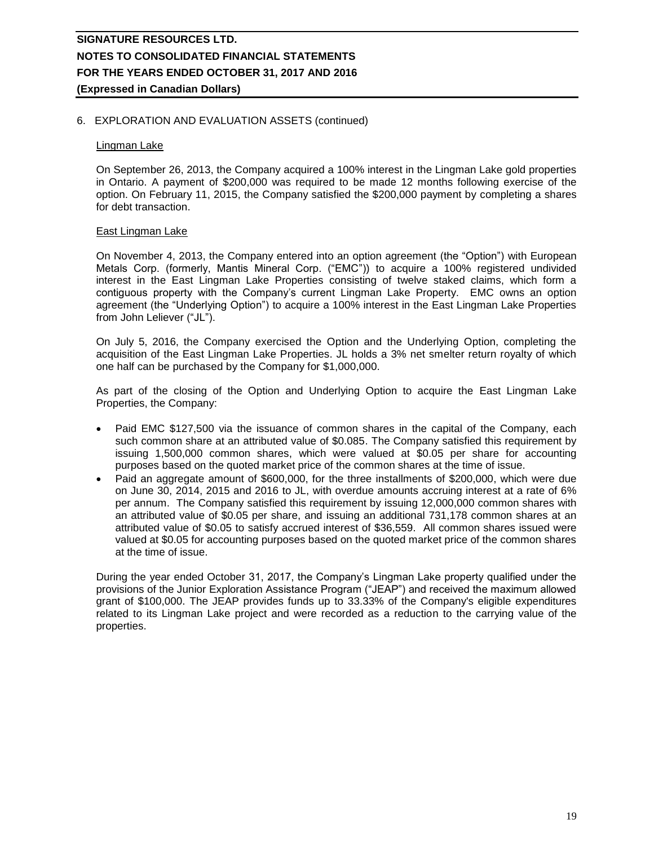## 6. EXPLORATION AND EVALUATION ASSETS (continued)

#### Lingman Lake

On September 26, 2013, the Company acquired a 100% interest in the Lingman Lake gold properties in Ontario. A payment of \$200,000 was required to be made 12 months following exercise of the option. On February 11, 2015, the Company satisfied the \$200,000 payment by completing a shares for debt transaction.

#### East Lingman Lake

On November 4, 2013, the Company entered into an option agreement (the "Option") with European Metals Corp. (formerly, Mantis Mineral Corp. ("EMC")) to acquire a 100% registered undivided interest in the East Lingman Lake Properties consisting of twelve staked claims, which form a contiguous property with the Company's current Lingman Lake Property. EMC owns an option agreement (the "Underlying Option") to acquire a 100% interest in the East Lingman Lake Properties from John Leliever ("JL").

On July 5, 2016, the Company exercised the Option and the Underlying Option, completing the acquisition of the East Lingman Lake Properties. JL holds a 3% net smelter return royalty of which one half can be purchased by the Company for \$1,000,000.

As part of the closing of the Option and Underlying Option to acquire the East Lingman Lake Properties, the Company:

- Paid EMC \$127,500 via the issuance of common shares in the capital of the Company, each such common share at an attributed value of \$0.085. The Company satisfied this requirement by issuing 1,500,000 common shares, which were valued at \$0.05 per share for accounting purposes based on the quoted market price of the common shares at the time of issue.
- Paid an aggregate amount of \$600,000, for the three installments of \$200,000, which were due on June 30, 2014, 2015 and 2016 to JL, with overdue amounts accruing interest at a rate of 6% per annum. The Company satisfied this requirement by issuing 12,000,000 common shares with an attributed value of \$0.05 per share, and issuing an additional 731,178 common shares at an attributed value of \$0.05 to satisfy accrued interest of \$36,559. All common shares issued were valued at \$0.05 for accounting purposes based on the quoted market price of the common shares at the time of issue.

During the year ended October 31, 2017, the Company's Lingman Lake property qualified under the provisions of the Junior Exploration Assistance Program ("JEAP") and received the maximum allowed grant of \$100,000. The JEAP provides funds up to 33.33% of the Company's eligible expenditures related to its Lingman Lake project and were recorded as a reduction to the carrying value of the properties.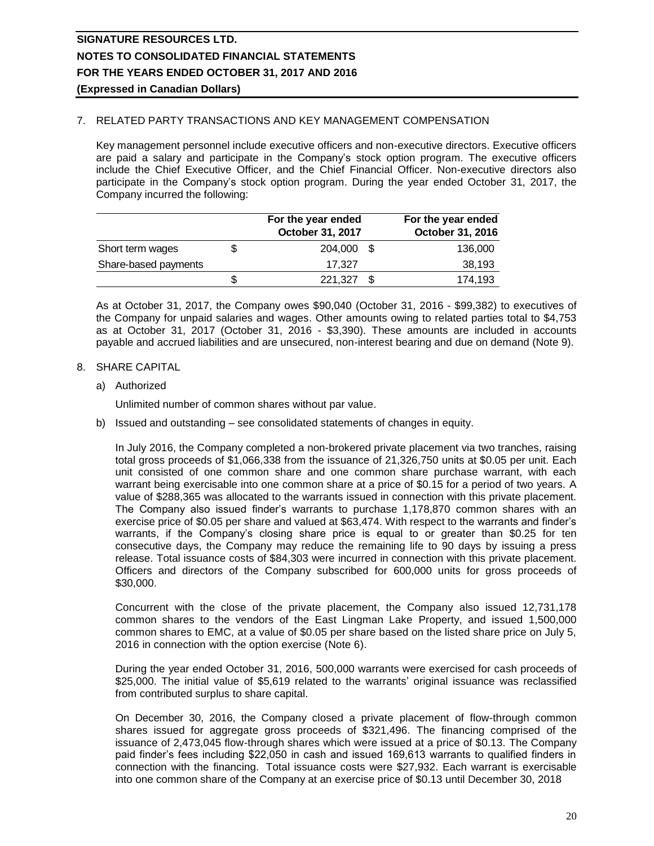# 7. RELATED PARTY TRANSACTIONS AND KEY MANAGEMENT COMPENSATION

Key management personnel include executive officers and non-executive directors. Executive officers are paid a salary and participate in the Company's stock option program. The executive officers include the Chief Executive Officer, and the Chief Financial Officer. Non-executive directors also participate in the Company's stock option program. During the year ended October 31, 2017, the Company incurred the following:

|                      | For the year ended<br>October 31, 2017 | For the year ended<br>October 31, 2016 |
|----------------------|----------------------------------------|----------------------------------------|
| Short term wages     | 204,000 \$                             | 136,000                                |
| Share-based payments | 17.327                                 | 38,193                                 |
|                      | 221,327                                | 174.193                                |

As at October 31, 2017, the Company owes \$90,040 (October 31, 2016 - \$99,382) to executives of the Company for unpaid salaries and wages. Other amounts owing to related parties total to \$4,753 as at October 31, 2017 (October 31, 2016 - \$3,390). These amounts are included in accounts payable and accrued liabilities and are unsecured, non-interest bearing and due on demand (Note 9).

#### 8. SHARE CAPITAL

a) Authorized

Unlimited number of common shares without par value.

b) Issued and outstanding – see consolidated statements of changes in equity.

In July 2016, the Company completed a non-brokered private placement via two tranches, raising total gross proceeds of \$1,066,338 from the issuance of 21,326,750 units at \$0.05 per unit. Each unit consisted of one common share and one common share purchase warrant, with each warrant being exercisable into one common share at a price of \$0.15 for a period of two years. A value of \$288,365 was allocated to the warrants issued in connection with this private placement. The Company also issued finder's warrants to purchase 1,178,870 common shares with an exercise price of \$0.05 per share and valued at \$63,474. With respect to the warrants and finder's warrants, if the Company's closing share price is equal to or greater than \$0.25 for ten consecutive days, the Company may reduce the remaining life to 90 days by issuing a press release. Total issuance costs of \$84,303 were incurred in connection with this private placement. Officers and directors of the Company subscribed for 600,000 units for gross proceeds of \$30,000.

Concurrent with the close of the private placement, the Company also issued 12,731,178 common shares to the vendors of the East Lingman Lake Property, and issued 1,500,000 common shares to EMC, at a value of \$0.05 per share based on the listed share price on July 5, 2016 in connection with the option exercise (Note 6).

During the year ended October 31, 2016, 500,000 warrants were exercised for cash proceeds of \$25,000. The initial value of \$5,619 related to the warrants' original issuance was reclassified from contributed surplus to share capital.

On December 30, 2016, the Company closed a private placement of flow-through common shares issued for aggregate gross proceeds of \$321,496. The financing comprised of the issuance of 2,473,045 flow-through shares which were issued at a price of \$0.13. The Company paid finder's fees including \$22,050 in cash and issued 169,613 warrants to qualified finders in connection with the financing. Total issuance costs were \$27,932. Each warrant is exercisable into one common share of the Company at an exercise price of \$0.13 until December 30, 2018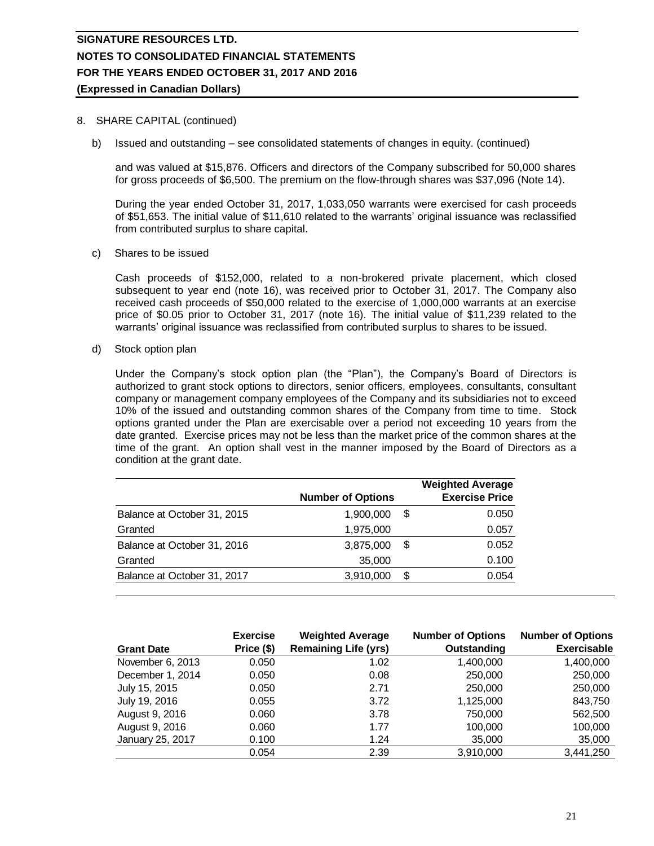#### 8. SHARE CAPITAL (continued)

b) Issued and outstanding – see consolidated statements of changes in equity. (continued)

and was valued at \$15,876. Officers and directors of the Company subscribed for 50,000 shares for gross proceeds of \$6,500. The premium on the flow-through shares was \$37,096 (Note 14).

During the year ended October 31, 2017, 1,033,050 warrants were exercised for cash proceeds of \$51,653. The initial value of \$11,610 related to the warrants' original issuance was reclassified from contributed surplus to share capital.

c) Shares to be issued

Cash proceeds of \$152,000, related to a non-brokered private placement, which closed subsequent to year end (note 16), was received prior to October 31, 2017. The Company also received cash proceeds of \$50,000 related to the exercise of 1,000,000 warrants at an exercise price of \$0.05 prior to October 31, 2017 (note 16). The initial value of \$11,239 related to the warrants' original issuance was reclassified from contributed surplus to shares to be issued.

d) Stock option plan

Under the Company's stock option plan (the "Plan"), the Company's Board of Directors is authorized to grant stock options to directors, senior officers, employees, consultants, consultant company or management company employees of the Company and its subsidiaries not to exceed 10% of the issued and outstanding common shares of the Company from time to time. Stock options granted under the Plan are exercisable over a period not exceeding 10 years from the date granted. Exercise prices may not be less than the market price of the common shares at the time of the grant. An option shall vest in the manner imposed by the Board of Directors as a condition at the grant date.

|                             | <b>Number of Options</b> | <b>Weighted Average</b><br><b>Exercise Price</b> |
|-----------------------------|--------------------------|--------------------------------------------------|
| Balance at October 31, 2015 | 1,900,000                | \$<br>0.050                                      |
| Granted                     | 1,975,000                | 0.057                                            |
| Balance at October 31, 2016 | 3,875,000                | \$<br>0.052                                      |
| Granted                     | 35,000                   | 0.100                                            |
| Balance at October 31, 2017 | 3,910,000                | \$<br>0.054                                      |

| <b>Grant Date</b> | <b>Exercise</b><br>Price (\$) | <b>Weighted Average</b><br><b>Remaining Life (yrs)</b> | <b>Number of Options</b><br>Outstanding | <b>Number of Options</b><br><b>Exercisable</b> |
|-------------------|-------------------------------|--------------------------------------------------------|-----------------------------------------|------------------------------------------------|
| November 6, 2013  | 0.050                         | 1.02                                                   | 1,400,000                               | 1,400,000                                      |
| December 1, 2014  | 0.050                         | 0.08                                                   | 250,000                                 | 250,000                                        |
| July 15, 2015     | 0.050                         | 2.71                                                   | 250,000                                 | 250,000                                        |
| July 19, 2016     | 0.055                         | 3.72                                                   | 1,125,000                               | 843,750                                        |
| August 9, 2016    | 0.060                         | 3.78                                                   | 750,000                                 | 562,500                                        |
| August 9, 2016    | 0.060                         | 1.77                                                   | 100.000                                 | 100,000                                        |
| January 25, 2017  | 0.100                         | 1.24                                                   | 35,000                                  | 35,000                                         |
|                   | 0.054                         | 2.39                                                   | 3,910,000                               | 3,441,250                                      |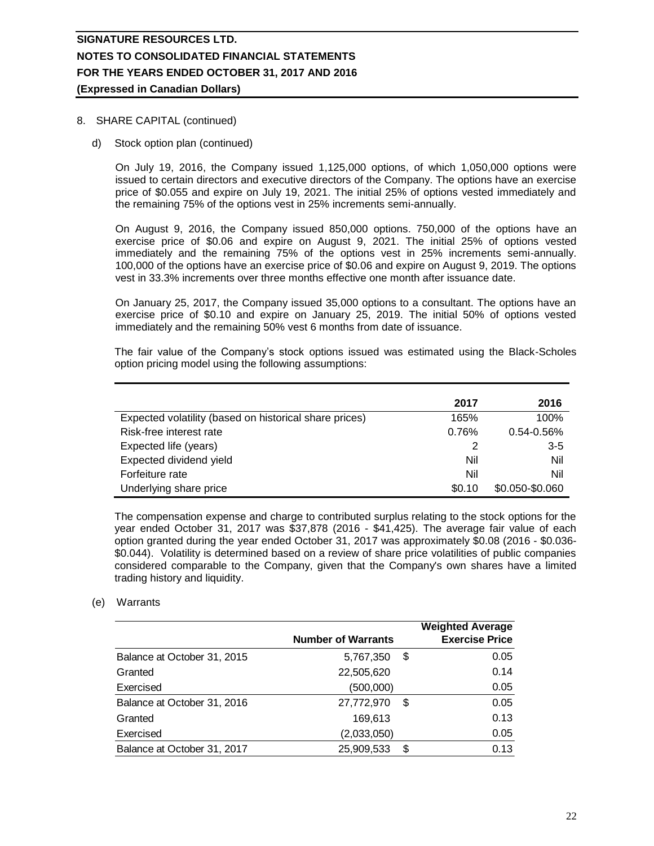## 8. SHARE CAPITAL (continued)

d) Stock option plan (continued)

On July 19, 2016, the Company issued 1,125,000 options, of which 1,050,000 options were issued to certain directors and executive directors of the Company. The options have an exercise price of \$0.055 and expire on July 19, 2021. The initial 25% of options vested immediately and the remaining 75% of the options vest in 25% increments semi-annually.

On August 9, 2016, the Company issued 850,000 options. 750,000 of the options have an exercise price of \$0.06 and expire on August 9, 2021. The initial 25% of options vested immediately and the remaining 75% of the options vest in 25% increments semi-annually. 100,000 of the options have an exercise price of \$0.06 and expire on August 9, 2019. The options vest in 33.3% increments over three months effective one month after issuance date.

On January 25, 2017, the Company issued 35,000 options to a consultant. The options have an exercise price of \$0.10 and expire on January 25, 2019. The initial 50% of options vested immediately and the remaining 50% vest 6 months from date of issuance.

The fair value of the Company's stock options issued was estimated using the Black-Scholes option pricing model using the following assumptions:

|                                                        | 2017   | 2016            |
|--------------------------------------------------------|--------|-----------------|
| Expected volatility (based on historical share prices) | 165%   | 100%            |
| Risk-free interest rate                                | 0.76%  | $0.54 - 0.56%$  |
| Expected life (years)                                  |        | $3 - 5$         |
| Expected dividend yield                                | Nil    | Nil             |
| Forfeiture rate                                        | Nil    | Nil             |
| Underlying share price                                 | \$0.10 | \$0.050-\$0.060 |

The compensation expense and charge to contributed surplus relating to the stock options for the year ended October 31, 2017 was \$37,878 (2016 - \$41,425). The average fair value of each option granted during the year ended October 31, 2017 was approximately \$0.08 (2016 - \$0.036- \$0.044). Volatility is determined based on a review of share price volatilities of public companies considered comparable to the Company, given that the Company's own shares have a limited trading history and liquidity.

#### (e) Warrants

|                             | <b>Number of Warrants</b> |    | <b>Weighted Average</b><br><b>Exercise Price</b> |
|-----------------------------|---------------------------|----|--------------------------------------------------|
| Balance at October 31, 2015 | 5,767,350                 | \$ | 0.05                                             |
| Granted                     | 22,505,620                |    | 0.14                                             |
| Exercised                   | (500,000)                 |    | 0.05                                             |
| Balance at October 31, 2016 | 27,772,970                | \$ | 0.05                                             |
| Granted                     | 169,613                   |    | 0.13                                             |
| Exercised                   | (2,033,050)               |    | 0.05                                             |
| Balance at October 31, 2017 | 25,909,533                | S  | 0.13                                             |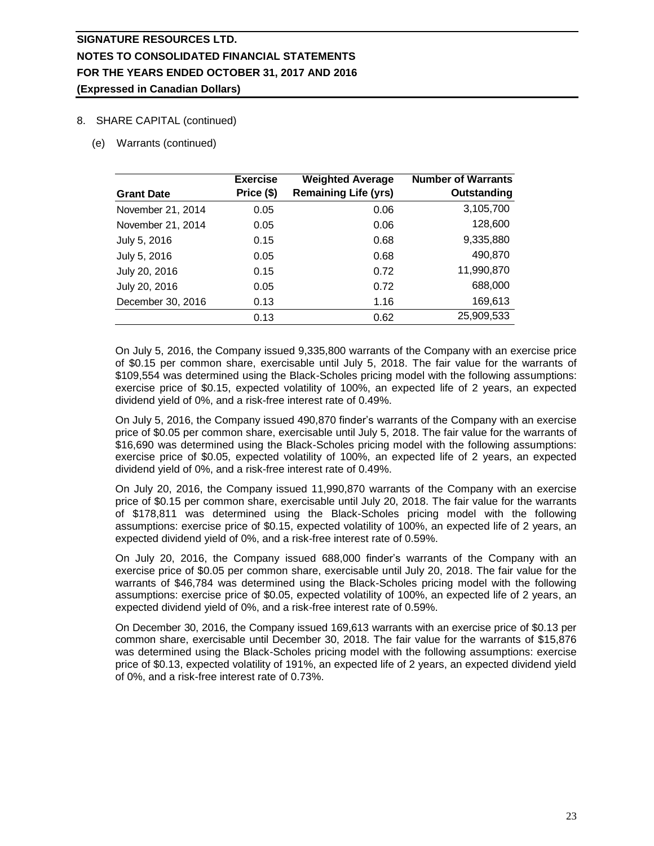## 8. SHARE CAPITAL (continued)

(e) Warrants (continued)

| <b>Grant Date</b> | <b>Exercise</b><br>Price (\$) | <b>Weighted Average</b><br><b>Remaining Life (yrs)</b> | <b>Number of Warrants</b><br>Outstanding |
|-------------------|-------------------------------|--------------------------------------------------------|------------------------------------------|
| November 21, 2014 | 0.05                          | 0.06                                                   | 3,105,700                                |
| November 21, 2014 | 0.05                          | 0.06                                                   | 128,600                                  |
| July 5, 2016      | 0.15                          | 0.68                                                   | 9,335,880                                |
| July 5, 2016      | 0.05                          | 0.68                                                   | 490,870                                  |
| July 20, 2016     | 0.15                          | 0.72                                                   | 11,990,870                               |
| July 20, 2016     | 0.05                          | 0.72                                                   | 688,000                                  |
| December 30, 2016 | 0.13                          | 1.16                                                   | 169,613                                  |
|                   | 0.13                          | 0.62                                                   | 25,909,533                               |

On July 5, 2016, the Company issued 9,335,800 warrants of the Company with an exercise price of \$0.15 per common share, exercisable until July 5, 2018. The fair value for the warrants of \$109,554 was determined using the Black-Scholes pricing model with the following assumptions: exercise price of \$0.15, expected volatility of 100%, an expected life of 2 years, an expected dividend yield of 0%, and a risk-free interest rate of 0.49%.

On July 5, 2016, the Company issued 490,870 finder's warrants of the Company with an exercise price of \$0.05 per common share, exercisable until July 5, 2018. The fair value for the warrants of \$16,690 was determined using the Black-Scholes pricing model with the following assumptions: exercise price of \$0.05, expected volatility of 100%, an expected life of 2 years, an expected dividend yield of 0%, and a risk-free interest rate of 0.49%.

On July 20, 2016, the Company issued 11,990,870 warrants of the Company with an exercise price of \$0.15 per common share, exercisable until July 20, 2018. The fair value for the warrants of \$178,811 was determined using the Black-Scholes pricing model with the following assumptions: exercise price of \$0.15, expected volatility of 100%, an expected life of 2 years, an expected dividend yield of 0%, and a risk-free interest rate of 0.59%.

On July 20, 2016, the Company issued 688,000 finder's warrants of the Company with an exercise price of \$0.05 per common share, exercisable until July 20, 2018. The fair value for the warrants of \$46,784 was determined using the Black-Scholes pricing model with the following assumptions: exercise price of \$0.05, expected volatility of 100%, an expected life of 2 years, an expected dividend yield of 0%, and a risk-free interest rate of 0.59%.

On December 30, 2016, the Company issued 169,613 warrants with an exercise price of \$0.13 per common share, exercisable until December 30, 2018. The fair value for the warrants of \$15,876 was determined using the Black-Scholes pricing model with the following assumptions: exercise price of \$0.13, expected volatility of 191%, an expected life of 2 years, an expected dividend yield of 0%, and a risk-free interest rate of 0.73%.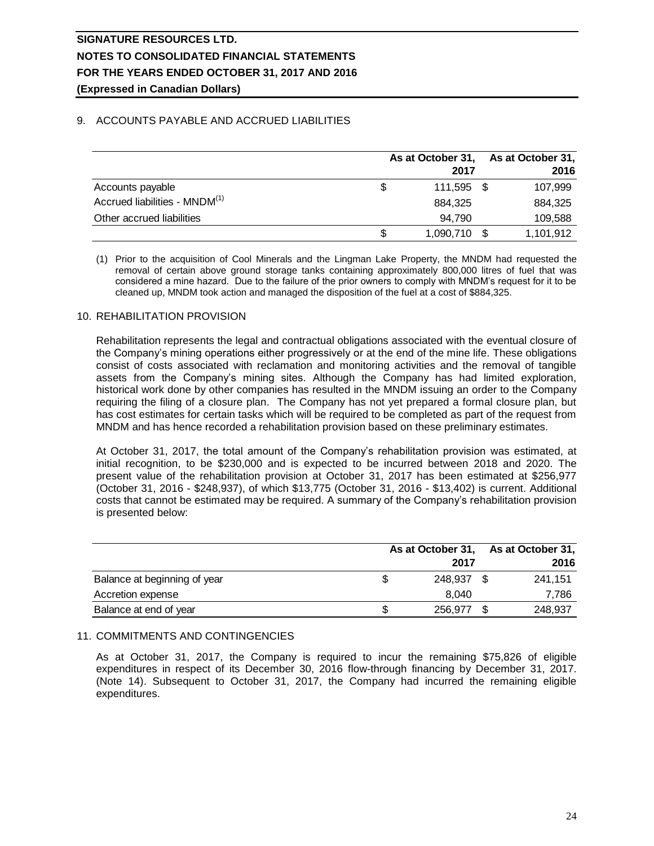# 9. ACCOUNTS PAYABLE AND ACCRUED LIABILITIES

|                                           | As at October 31, |              | As at October 31, |  |
|-------------------------------------------|-------------------|--------------|-------------------|--|
|                                           |                   | 2017         | 2016              |  |
| Accounts payable                          | S                 | 111.595 \$   | 107,999           |  |
| Accrued liabilities - MNDM <sup>(1)</sup> |                   | 884.325      | 884,325           |  |
| Other accrued liabilities                 |                   | 94.790       | 109,588           |  |
|                                           |                   | 1,090,710 \$ | 1,101,912         |  |

(1) Prior to the acquisition of Cool Minerals and the Lingman Lake Property, the MNDM had requested the removal of certain above ground storage tanks containing approximately 800,000 litres of fuel that was considered a mine hazard. Due to the failure of the prior owners to comply with MNDM's request for it to be cleaned up, MNDM took action and managed the disposition of the fuel at a cost of \$884,325.

#### 10. REHABILITATION PROVISION

Rehabilitation represents the legal and contractual obligations associated with the eventual closure of the Company's mining operations either progressively or at the end of the mine life. These obligations consist of costs associated with reclamation and monitoring activities and the removal of tangible assets from the Company's mining sites. Although the Company has had limited exploration, historical work done by other companies has resulted in the MNDM issuing an order to the Company requiring the filing of a closure plan. The Company has not yet prepared a formal closure plan, but has cost estimates for certain tasks which will be required to be completed as part of the request from MNDM and has hence recorded a rehabilitation provision based on these preliminary estimates.

At October 31, 2017, the total amount of the Company's rehabilitation provision was estimated, at initial recognition, to be \$230,000 and is expected to be incurred between 2018 and 2020. The present value of the rehabilitation provision at October 31, 2017 has been estimated at \$256,977 (October 31, 2016 - \$248,937), of which \$13,775 (October 31, 2016 - \$13,402) is current. Additional costs that cannot be estimated may be required. A summary of the Company's rehabilitation provision is presented below:

|                              | As at October 31, As at October 31, |  |         |  |
|------------------------------|-------------------------------------|--|---------|--|
|                              | 2017                                |  | 2016    |  |
| Balance at beginning of year | 248.937                             |  | 241,151 |  |
| Accretion expense            | 8.040                               |  | 7,786   |  |
| Balance at end of year       | 256,977                             |  | 248,937 |  |

## 11. COMMITMENTS AND CONTINGENCIES

As at October 31, 2017, the Company is required to incur the remaining \$75,826 of eligible expenditures in respect of its December 30, 2016 flow-through financing by December 31, 2017. (Note 14). Subsequent to October 31, 2017, the Company had incurred the remaining eligible expenditures.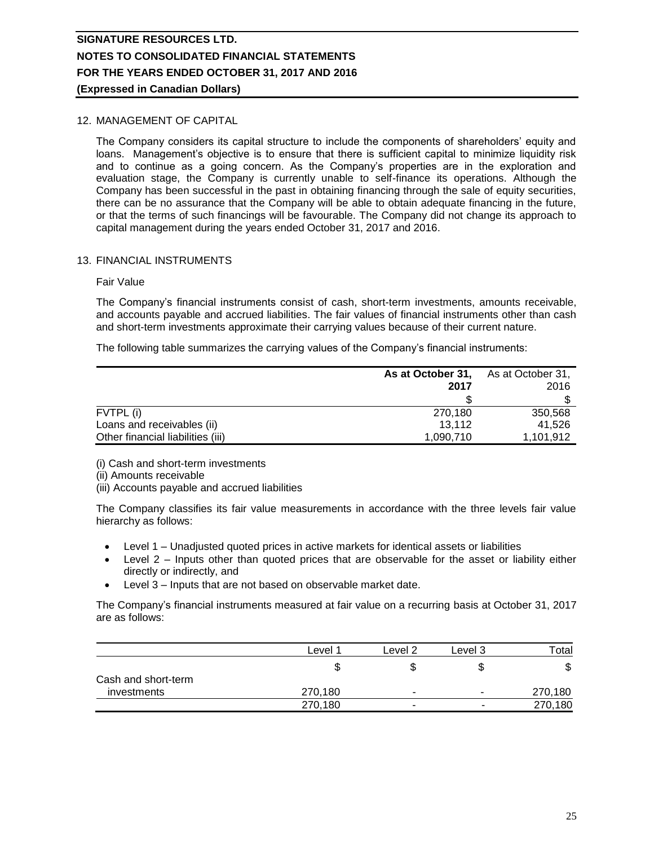## 12. MANAGEMENT OF CAPITAL

The Company considers its capital structure to include the components of shareholders' equity and loans. Management's objective is to ensure that there is sufficient capital to minimize liquidity risk and to continue as a going concern. As the Company's properties are in the exploration and evaluation stage, the Company is currently unable to self-finance its operations. Although the Company has been successful in the past in obtaining financing through the sale of equity securities, there can be no assurance that the Company will be able to obtain adequate financing in the future, or that the terms of such financings will be favourable. The Company did not change its approach to capital management during the years ended October 31, 2017 and 2016.

## 13. FINANCIAL INSTRUMENTS

#### Fair Value

The Company's financial instruments consist of cash, short-term investments, amounts receivable, and accounts payable and accrued liabilities. The fair values of financial instruments other than cash and short-term investments approximate their carrying values because of their current nature.

The following table summarizes the carrying values of the Company's financial instruments:

|                                   | As at October 31, | As at October 31, |
|-----------------------------------|-------------------|-------------------|
|                                   | 2017              | 2016              |
|                                   |                   |                   |
| FVTPL (i)                         | 270.180           | 350.568           |
| Loans and receivables (ii)        | 13.112            | 41.526            |
| Other financial liabilities (iii) | 1,090,710         | 1.101.912         |

(i) Cash and short-term investments

(ii) Amounts receivable

(iii) Accounts payable and accrued liabilities

The Company classifies its fair value measurements in accordance with the three levels fair value hierarchy as follows:

- Level 1 Unadjusted quoted prices in active markets for identical assets or liabilities
- Level 2 Inputs other than quoted prices that are observable for the asset or liability either directly or indirectly, and
- Level 3 Inputs that are not based on observable market date.

The Company's financial instruments measured at fair value on a recurring basis at October 31, 2017 are as follows:

|                     | ∟evel 1 | Level 2                  | Level 3                  | Total   |
|---------------------|---------|--------------------------|--------------------------|---------|
|                     |         |                          | ъD                       | \$      |
| Cash and short-term |         |                          |                          |         |
| investments         | 270,180 | $\overline{\phantom{a}}$ | ۰                        | 270,180 |
|                     | 270,180 | $\overline{\phantom{a}}$ | $\overline{\phantom{a}}$ | 270,180 |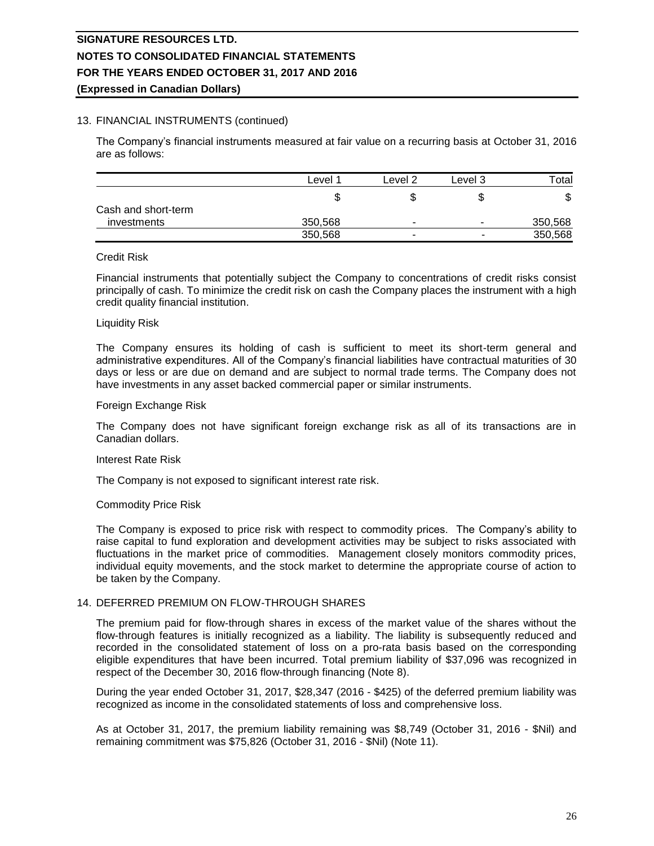## 13. FINANCIAL INSTRUMENTS (continued)

The Company's financial instruments measured at fair value on a recurring basis at October 31, 2016 are as follows:

|                     | ∟evel 1 | ∟evel 2 | Level 3 | Total   |
|---------------------|---------|---------|---------|---------|
|                     |         |         | æ       | Φ       |
| Cash and short-term |         |         |         |         |
| investments         | 350,568 |         | $\sim$  | 350,568 |
|                     | 350,568 |         | ۰       | 350,568 |

#### Credit Risk

Financial instruments that potentially subject the Company to concentrations of credit risks consist principally of cash. To minimize the credit risk on cash the Company places the instrument with a high credit quality financial institution.

#### Liquidity Risk

The Company ensures its holding of cash is sufficient to meet its short-term general and administrative expenditures. All of the Company's financial liabilities have contractual maturities of 30 days or less or are due on demand and are subject to normal trade terms. The Company does not have investments in any asset backed commercial paper or similar instruments.

#### Foreign Exchange Risk

The Company does not have significant foreign exchange risk as all of its transactions are in Canadian dollars.

#### Interest Rate Risk

The Company is not exposed to significant interest rate risk.

#### Commodity Price Risk

The Company is exposed to price risk with respect to commodity prices. The Company's ability to raise capital to fund exploration and development activities may be subject to risks associated with fluctuations in the market price of commodities. Management closely monitors commodity prices, individual equity movements, and the stock market to determine the appropriate course of action to be taken by the Company.

#### 14. DEFERRED PREMIUM ON FLOW-THROUGH SHARES

The premium paid for flow-through shares in excess of the market value of the shares without the flow-through features is initially recognized as a liability. The liability is subsequently reduced and recorded in the consolidated statement of loss on a pro-rata basis based on the corresponding eligible expenditures that have been incurred. Total premium liability of \$37,096 was recognized in respect of the December 30, 2016 flow-through financing (Note 8).

During the year ended October 31, 2017, \$28,347 (2016 - \$425) of the deferred premium liability was recognized as income in the consolidated statements of loss and comprehensive loss.

As at October 31, 2017, the premium liability remaining was \$8,749 (October 31, 2016 - \$Nil) and remaining commitment was \$75,826 (October 31, 2016 - \$Nil) (Note 11).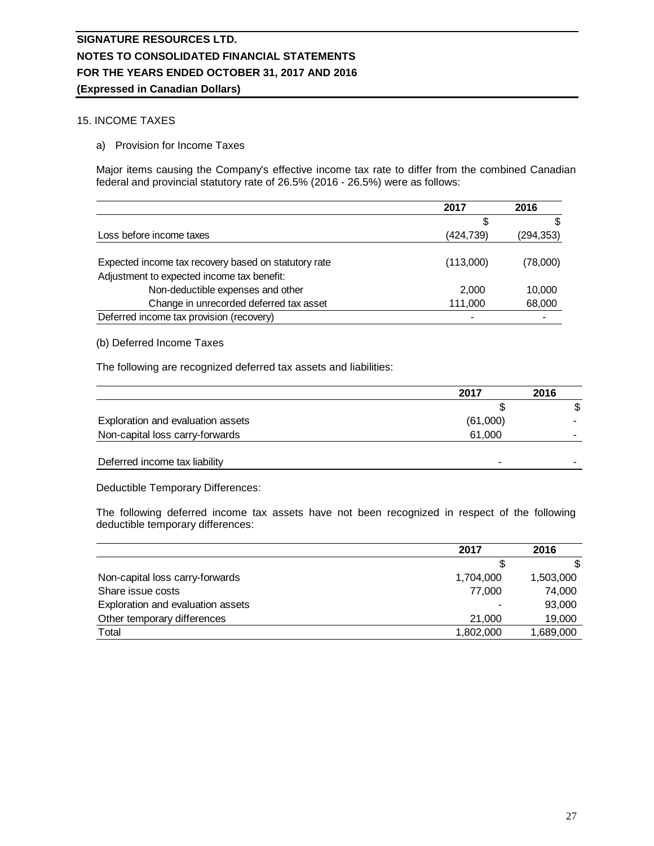## 15. INCOME TAXES

a) Provision for Income Taxes

Major items causing the Company's effective income tax rate to differ from the combined Canadian federal and provincial statutory rate of 26.5% (2016 - 26.5%) were as follows:

|                                                      | 2017      | 2016       |
|------------------------------------------------------|-----------|------------|
|                                                      | \$        | \$         |
| Loss before income taxes                             | (424,739) | (294, 353) |
| Expected income tax recovery based on statutory rate | (113,000) | (78,000)   |
| Adjustment to expected income tax benefit:           |           |            |
| Non-deductible expenses and other                    | 2,000     | 10,000     |
| Change in unrecorded deferred tax asset              | 111,000   | 68,000     |
| Deferred income tax provision (recovery)             |           |            |

## (b) Deferred Income Taxes

The following are recognized deferred tax assets and liabilities:

|                                   | 2017     | 2016 |
|-----------------------------------|----------|------|
|                                   |          | S    |
| Exploration and evaluation assets | (61,000) |      |
| Non-capital loss carry-forwards   | 61.000   |      |
|                                   |          |      |
| Deferred income tax liability     |          |      |

Deductible Temporary Differences:

The following deferred income tax assets have not been recognized in respect of the following deductible temporary differences:

|                                   | 2017      | 2016      |
|-----------------------------------|-----------|-----------|
|                                   | S         | \$        |
| Non-capital loss carry-forwards   | 1,704,000 | 1,503,000 |
| Share issue costs                 | 77,000    | 74,000    |
| Exploration and evaluation assets |           | 93,000    |
| Other temporary differences       | 21,000    | 19,000    |
| Total                             | 1,802,000 | 1,689,000 |